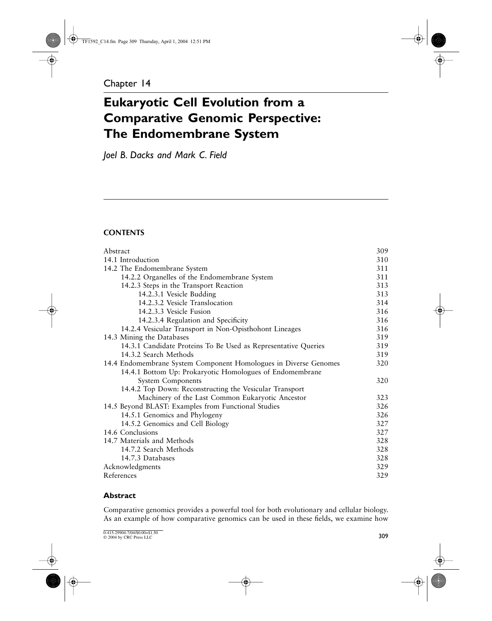## Chapter 14

# **Eukaryotic Cell Evolution from a Comparative Genomic Perspective: The Endomembrane System**

*Joel B. Dacks and Mark C. Field*

## **CONTENTS**

| Abstract                                                         | 309 |
|------------------------------------------------------------------|-----|
| 14.1 Introduction                                                | 310 |
| 14.2 The Endomembrane System                                     | 311 |
| 14.2.2 Organelles of the Endomembrane System                     | 311 |
| 14.2.3 Steps in the Transport Reaction                           | 313 |
| 14.2.3.1 Vesicle Budding                                         | 313 |
| 14.2.3.2 Vesicle Translocation                                   | 314 |
| 14.2.3.3 Vesicle Fusion                                          | 316 |
| 14.2.3.4 Regulation and Specificity                              | 316 |
| 14.2.4 Vesicular Transport in Non-Opisthohont Lineages           | 316 |
| 14.3 Mining the Databases                                        | 319 |
| 14.3.1 Candidate Proteins To Be Used as Representative Queries   | 319 |
| 14.3.2 Search Methods                                            | 319 |
| 14.4 Endomembrane System Component Homologues in Diverse Genomes | 320 |
| 14.4.1 Bottom Up: Prokaryotic Homologues of Endomembrane         |     |
| <b>System Components</b>                                         | 320 |
| 14.4.2 Top Down: Reconstructing the Vesicular Transport          |     |
| Machinery of the Last Common Eukaryotic Ancestor                 | 323 |
| 14.5 Beyond BLAST: Examples from Functional Studies              | 326 |
| 14.5.1 Genomics and Phylogeny                                    | 326 |
| 14.5.2 Genomics and Cell Biology                                 | 327 |
| 14.6 Conclusions                                                 | 327 |
| 14.7 Materials and Methods                                       | 328 |
| 14.7.2 Search Methods                                            | 328 |
| 14.7.3 Databases                                                 | 328 |
| Acknowledgments                                                  | 329 |
| References                                                       | 329 |

## **Abstract**

Comparative genomics provides a powerful tool for both evolutionary and cellular biology. As an example of how comparative genomics can be used in these fields, we examine how

0-415-29904-7/04/\$0.00+\$1.50<br>© 2004 by CRC Press LLC 30

♦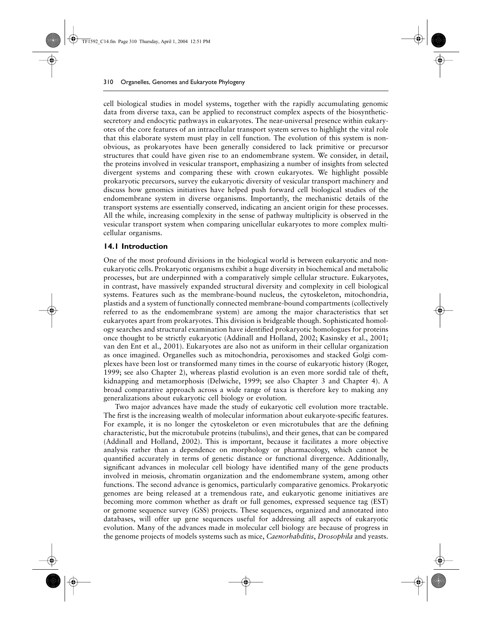cell biological studies in model systems, together with the rapidly accumulating genomic data from diverse taxa, can be applied to reconstruct complex aspects of the biosyntheticsecretory and endocytic pathways in eukaryotes. The near-universal presence within eukaryotes of the core features of an intracellular transport system serves to highlight the vital role that this elaborate system must play in cell function. The evolution of this system is nonobvious, as prokaryotes have been generally considered to lack primitive or precursor structures that could have given rise to an endomembrane system. We consider, in detail, the proteins involved in vesicular transport, emphasizing a number of insights from selected divergent systems and comparing these with crown eukaryotes. We highlight possible prokaryotic precursors, survey the eukaryotic diversity of vesicular transport machinery and discuss how genomics initiatives have helped push forward cell biological studies of the endomembrane system in diverse organisms. Importantly, the mechanistic details of the transport systems are essentially conserved, indicating an ancient origin for these processes. All the while, increasing complexity in the sense of pathway multiplicity is observed in the vesicular transport system when comparing unicellular eukaryotes to more complex multicellular organisms.

## **14.1 Introduction**

One of the most profound divisions in the biological world is between eukaryotic and noneukaryotic cells. Prokaryotic organisms exhibit a huge diversity in biochemical and metabolic processes, but are underpinned with a comparatively simple cellular structure. Eukaryotes, in contrast, have massively expanded structural diversity and complexity in cell biological systems. Features such as the membrane-bound nucleus, the cytoskeleton, mitochondria, plastids and a system of functionally connected membrane-bound compartments (collectively referred to as the endomembrane system) are among the major characteristics that set eukaryotes apart from prokaryotes. This division is bridgeable though. Sophisticated homology searches and structural examination have identified prokaryotic homologues for proteins once thought to be strictly eukaryotic (Addinall and Holland, 2002; Kasinsky et al., 2001; van den Ent et al., 2001). Eukaryotes are also not as uniform in their cellular organization as once imagined. Organelles such as mitochondria, peroxisomes and stacked Golgi complexes have been lost or transformed many times in the course of eukaryotic history (Roger, 1999; see also Chapter 2), whereas plastid evolution is an even more sordid tale of theft, kidnapping and metamorphosis (Delwiche, 1999; see also Chapter 3 and Chapter 4). A broad comparative approach across a wide range of taxa is therefore key to making any generalizations about eukaryotic cell biology or evolution.

Two major advances have made the study of eukaryotic cell evolution more tractable. The first is the increasing wealth of molecular information about eukaryote-specific features. For example, it is no longer the cytoskeleton or even microtubules that are the defining characteristic, but the microtubule proteins (tubulins), and their genes, that can be compared (Addinall and Holland, 2002). This is important, because it facilitates a more objective analysis rather than a dependence on morphology or pharmacology, which cannot be quantified accurately in terms of genetic distance or functional divergence. Additionally, significant advances in molecular cell biology have identified many of the gene products involved in meiosis, chromatin organization and the endomembrane system, among other functions. The second advance is genomics, particularly comparative genomics. Prokaryotic genomes are being released at a tremendous rate, and eukaryotic genome initiatives are becoming more common whether as draft or full genomes, expressed sequence tag (EST) or genome sequence survey (GSS) projects. These sequences, organized and annotated into databases, will offer up gene sequences useful for addressing all aspects of eukaryotic evolution. Many of the advances made in molecular cell biology are because of progress in the genome projects of models systems such as mice, *Caenorhabditis*, *Drosophila* and yeasts.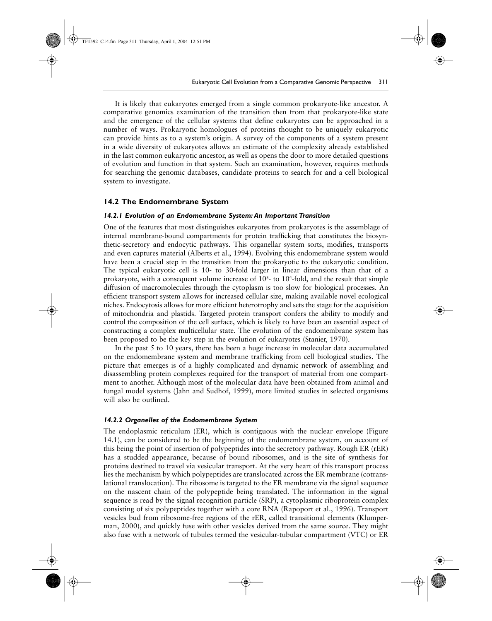It is likely that eukaryotes emerged from a single common prokaryote-like ancestor. A comparative genomics examination of the transition then from that prokaryote-like state and the emergence of the cellular systems that define eukaryotes can be approached in a number of ways. Prokaryotic homologues of proteins thought to be uniquely eukaryotic can provide hints as to a system's origin. A survey of the components of a system present in a wide diversity of eukaryotes allows an estimate of the complexity already established in the last common eukaryotic ancestor, as well as opens the door to more detailed questions of evolution and function in that system. Such an examination, however, requires methods for searching the genomic databases, candidate proteins to search for and a cell biological system to investigate.

## **14.2 The Endomembrane System**

 $\overline{T1592}$  C14.fm Page 311 Thursday, April 1, 2004 12:51 PM

## *14.2.1 Evolution of an Endomembrane System: An Important Transition*

One of the features that most distinguishes eukaryotes from prokaryotes is the assemblage of internal membrane-bound compartments for protein trafficking that constitutes the biosynthetic-secretory and endocytic pathways. This organellar system sorts, modifies, transports and even captures material (Alberts et al., 1994). Evolving this endomembrane system would have been a crucial step in the transition from the prokaryotic to the eukaryotic condition. The typical eukaryotic cell is 10- to 30-fold larger in linear dimensions than that of a prokaryote, with a consequent volume increase of  $10<sup>3</sup>$  to  $10<sup>4</sup>$ -fold, and the result that simple diffusion of macromolecules through the cytoplasm is too slow for biological processes. An efficient transport system allows for increased cellular size, making available novel ecological niches. Endocytosis allows for more efficient heterotrophy and sets the stage for the acquisition of mitochondria and plastids. Targeted protein transport confers the ability to modify and control the composition of the cell surface, which is likely to have been an essential aspect of constructing a complex multicellular state. The evolution of the endomembrane system has been proposed to be the key step in the evolution of eukaryotes (Stanier, 1970).

In the past 5 to 10 years, there has been a huge increase in molecular data accumulated on the endomembrane system and membrane trafficking from cell biological studies. The picture that emerges is of a highly complicated and dynamic network of assembling and disassembling protein complexes required for the transport of material from one compartment to another. Although most of the molecular data have been obtained from animal and fungal model systems (Jahn and Sudhof, 1999), more limited studies in selected organisms will also be outlined.

#### *14.2.2 Organelles of the Endomembrane System*

The endoplasmic reticulum (ER), which is contiguous with the nuclear envelope (Figure 14.1), can be considered to be the beginning of the endomembrane system, on account of this being the point of insertion of polypeptides into the secretory pathway. Rough ER (rER) has a studded appearance, because of bound ribosomes, and is the site of synthesis for proteins destined to travel via vesicular transport. At the very heart of this transport process lies the mechanism by which polypeptides are translocated across the ER membrane (cotranslational translocation). The ribosome is targeted to the ER membrane via the signal sequence on the nascent chain of the polypeptide being translated. The information in the signal sequence is read by the signal recognition particle (SRP), a cytoplasmic riboprotein complex consisting of six polypeptides together with a core RNA (Rapoport et al., 1996). Transport vesicles bud from ribosome-free regions of the rER, called transitional elements (Klumperman, 2000), and quickly fuse with other vesicles derived from the same source. They might also fuse with a network of tubules termed the vesicular-tubular compartment (VTC) or ER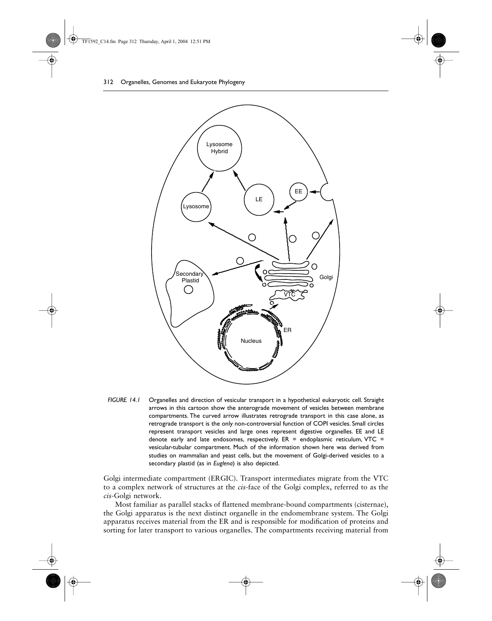

*FIGURE 14.1* Organelles and direction of vesicular transport in a hypothetical eukaryotic cell. Straight arrows in this cartoon show the anterograde movement of vesicles between membrane compartments. The curved arrow illustrates retrograde transport in this case alone, as retrograde transport is the only non-controversial function of COPI vesicles. Small circles represent transport vesicles and large ones represent digestive organelles. EE and LE denote early and late endosomes, respectively.  $ER =$  endoplasmic reticulum, VTC = vesicular-tubular compartment. Much of the information shown here was derived from studies on mammalian and yeast cells, but the movement of Golgi-derived vesicles to a secondary plastid (as in *Euglena*) is also depicted.

Golgi intermediate compartment (ERGIC). Transport intermediates migrate from the VTC to a complex network of structures at the *cis*-face of the Golgi complex, referred to as the *cis*-Golgi network.

Most familiar as parallel stacks of flattened membrane-bound compartments (cisternae), the Golgi apparatus is the next distinct organelle in the endomembrane system. The Golgi apparatus receives material from the ER and is responsible for modification of proteins and sorting for later transport to various organelles. The compartments receiving material from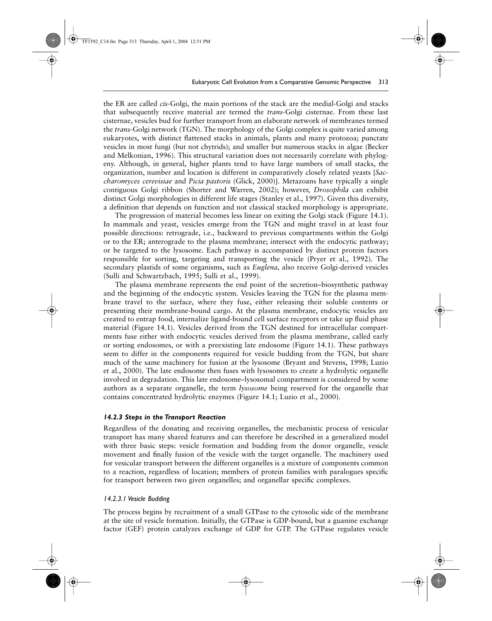the ER are called *cis*-Golgi, the main portions of the stack are the medial-Golgi and stacks that subsequently receive material are termed the *trans-*Golgi cisternae. From these last cisternae, vesicles bud for further transport from an elaborate network of membranes termed the *trans*-Golgi network (TGN). The morphology of the Golgi complex is quite varied among eukaryotes, with distinct flattened stacks in animals, plants and many protozoa; punctate vesicles in most fungi (but not chytrids); and smaller but numerous stacks in algae (Becker and Melkonian, 1996). This structural variation does not necessarily correlate with phylogeny. Although, in general, higher plants tend to have large numbers of small stacks, the organization, number and location is different in comparatively closely related yeasts [*Saccharomyces cerevisiae* and *Picia pastoris* (Glick, 2000)]. Metazoans have typically a single contiguous Golgi ribbon (Shorter and Warren, 2002); however, *Drosophila* can exhibit distinct Golgi morphologies in different life stages (Stanley et al., 1997). Given this diversity, a definition that depends on function and not classical stacked morphology is appropriate.

The progression of material becomes less linear on exiting the Golgi stack (Figure 14.1). In mammals and yeast, vesicles emerge from the TGN and might travel in at least four possible directions: retrograde, i.e., backward to previous compartments within the Golgi or to the ER; anterograde to the plasma membrane; intersect with the endocytic pathway; or be targeted to the lysosome. Each pathway is accompanied by distinct protein factors responsible for sorting, targeting and transporting the vesicle (Pryer et al., 1992). The secondary plastids of some organisms, such as *Euglena*, also receive Golgi-derived vesicles (Sulli and Schwartzbach, 1995; Sulli et al., 1999).

The plasma membrane represents the end point of the secretion–biosynthetic pathway and the beginning of the endocytic system. Vesicles leaving the TGN for the plasma membrane travel to the surface, where they fuse, either releasing their soluble contents or presenting their membrane-bound cargo. At the plasma membrane, endocytic vesicles are created to entrap food, internalize ligand-bound cell surface receptors or take up fluid phase material (Figure 14.1). Vesicles derived from the TGN destined for intracellular compartments fuse either with endocytic vesicles derived from the plasma membrane, called early or sorting endosomes, or with a preexisting late endosome (Figure 14.1). These pathways seem to differ in the components required for vesicle budding from the TGN, but share much of the same machinery for fusion at the lysosome (Bryant and Stevens, 1998; Luzio et al., 2000). The late endosome then fuses with lysosomes to create a hydrolytic organelle involved in degradation. This late endosome–lysosomal compartment is considered by some authors as a separate organelle, the term *lysosome* being reserved for the organelle that contains concentrated hydrolytic enzymes (Figure 14.1; Luzio et al., 2000).

## *14.2.3 Steps in the Transport Reaction*

Regardless of the donating and receiving organelles, the mechanistic process of vesicular transport has many shared features and can therefore be described in a generalized model with three basic steps: vesicle formation and budding from the donor organelle, vesicle movement and finally fusion of the vesicle with the target organelle. The machinery used for vesicular transport between the different organelles is a mixture of components common to a reaction, regardless of location; members of protein families with paralogues specific for transport between two given organelles; and organellar specific complexes.

## *14.2.3.1 Vesicle Budding*

The process begins by recruitment of a small GTPase to the cytosolic side of the membrane at the site of vesicle formation. Initially, the GTPase is GDP-bound, but a guanine exchange factor (GEF) protein catalyzes exchange of GDP for GTP. The GTPase regulates vesicle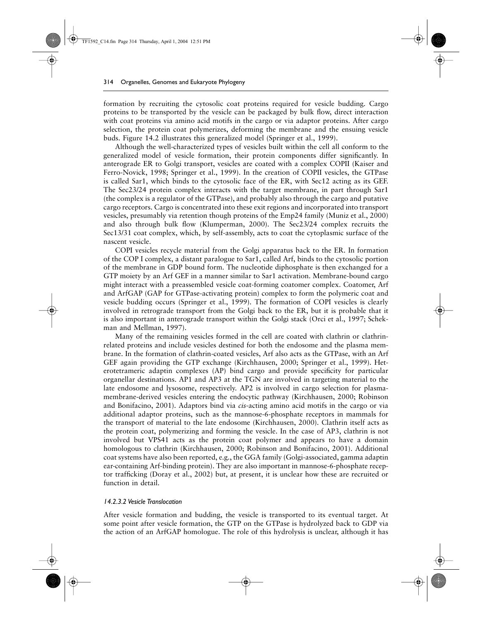formation by recruiting the cytosolic coat proteins required for vesicle budding. Cargo proteins to be transported by the vesicle can be packaged by bulk flow, direct interaction with coat proteins via amino acid motifs in the cargo or via adaptor proteins. After cargo selection, the protein coat polymerizes, deforming the membrane and the ensuing vesicle buds. Figure 14.2 illustrates this generalized model (Springer et al., 1999).

Although the well-characterized types of vesicles built within the cell all conform to the generalized model of vesicle formation, their protein components differ significantly. In anterograde ER to Golgi transport, vesicles are coated with a complex COPII (Kaiser and Ferro-Novick, 1998; Springer et al., 1999). In the creation of COPII vesicles, the GTPase is called Sar1, which binds to the cytosolic face of the ER, with Sec12 acting as its GEF. The Sec23/24 protein complex interacts with the target membrane, in part through Sar1 (the complex is a regulator of the GTPase), and probably also through the cargo and putative cargo receptors. Cargo is concentrated into these exit regions and incorporated into transport vesicles, presumably via retention though proteins of the Emp24 family (Muniz et al., 2000) and also through bulk flow (Klumperman, 2000). The Sec23/24 complex recruits the Sec13/31 coat complex, which, by self-assembly, acts to coat the cytoplasmic surface of the nascent vesicle.

COPI vesicles recycle material from the Golgi apparatus back to the ER. In formation of the COP I complex, a distant paralogue to Sar1, called Arf, binds to the cytosolic portion of the membrane in GDP bound form. The nucleotide diphosphate is then exchanged for a GTP moiety by an Arf GEF in a manner similar to Sar1 activation. Membrane-bound cargo might interact with a preassembled vesicle coat-forming coatomer complex. Coatomer, Arf and ArfGAP (GAP for GTPase-activating protein) complex to form the polymeric coat and vesicle budding occurs (Springer et al., 1999). The formation of COPI vesicles is clearly involved in retrograde transport from the Golgi back to the ER, but it is probable that it is also important in anterograde transport within the Golgi stack (Orci et al., 1997; Schekman and Mellman, 1997).

Many of the remaining vesicles formed in the cell are coated with clathrin or clathrinrelated proteins and include vesicles destined for both the endosome and the plasma membrane. In the formation of clathrin-coated vesicles, Arf also acts as the GTPase, with an Arf GEF again providing the GTP exchange (Kirchhausen, 2000; Springer et al., 1999). Heterotetrameric adaptin complexes (AP) bind cargo and provide specificity for particular organellar destinations. AP1 and AP3 at the TGN are involved in targeting material to the late endosome and lysosome, respectively. AP2 is involved in cargo selection for plasmamembrane-derived vesicles entering the endocytic pathway (Kirchhausen, 2000; Robinson and Bonifacino, 2001). Adaptors bind via *cis*-acting amino acid motifs in the cargo or via additional adaptor proteins, such as the mannose-6-phosphate receptors in mammals for the transport of material to the late endosome (Kirchhausen, 2000). Clathrin itself acts as the protein coat, polymerizing and forming the vesicle. In the case of AP3, clathrin is not involved but VPS41 acts as the protein coat polymer and appears to have a domain homologous to clathrin (Kirchhausen, 2000; Robinson and Bonifacino, 2001). Additional coat systems have also been reported, e.g., the GGA family (Golgi-associated, gamma adaptin ear-containing Arf-binding protein). They are also important in mannose-6-phosphate receptor trafficking (Doray et al., 2002) but, at present, it is unclear how these are recruited or function in detail.

#### *14.2.3.2 Vesicle Translocation*

After vesicle formation and budding, the vesicle is transported to its eventual target. At some point after vesicle formation, the GTP on the GTPase is hydrolyzed back to GDP via the action of an ArfGAP homologue. The role of this hydrolysis is unclear, although it has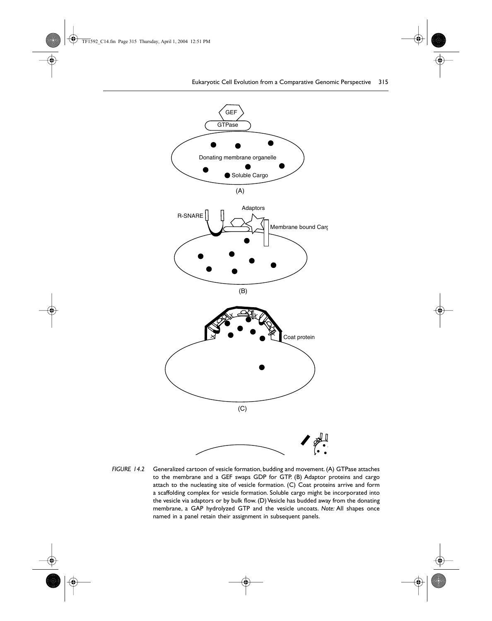€



*FIGURE 14.2* Generalized cartoon of vesicle formation, budding and movement. (A) GTPase attaches to the membrane and a GEF swaps GDP for GTP. (B) Adaptor proteins and cargo attach to the nucleating site of vesicle formation. (C) Coat proteins arrive and form a scaffolding complex for vesicle formation. Soluble cargo might be incorporated into the vesicle via adaptors or by bulk flow. (D) Vesicle has budded away from the donating membrane, a GAP hydrolyzed GTP and the vesicle uncoats. *Note:* All shapes once named in a panel retain their assignment in subsequent panels.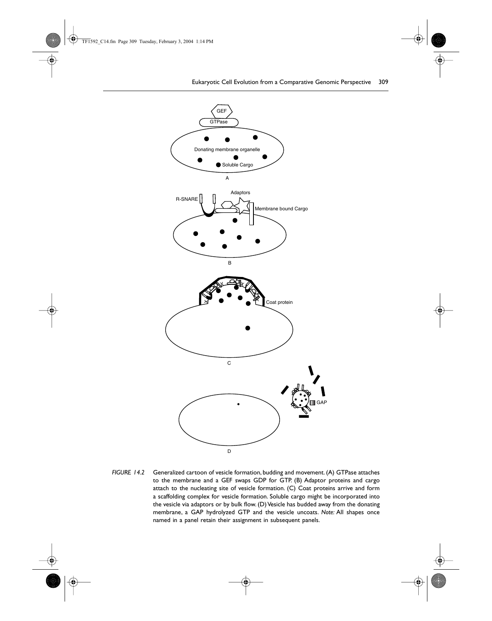⊕



*FIGURE 14.2* Generalized cartoon of vesicle formation, budding and movement. (A) GTPase attaches to the membrane and a GEF swaps GDP for GTP. (B) Adaptor proteins and cargo attach to the nucleating site of vesicle formation. (C) Coat proteins arrive and form a scaffolding complex for vesicle formation. Soluble cargo might be incorporated into the vesicle via adaptors or by bulk flow. (D) Vesicle has budded away from the donating membrane, a GAP hydrolyzed GTP and the vesicle uncoats. *Note:* All shapes once named in a panel retain their assignment in subsequent panels.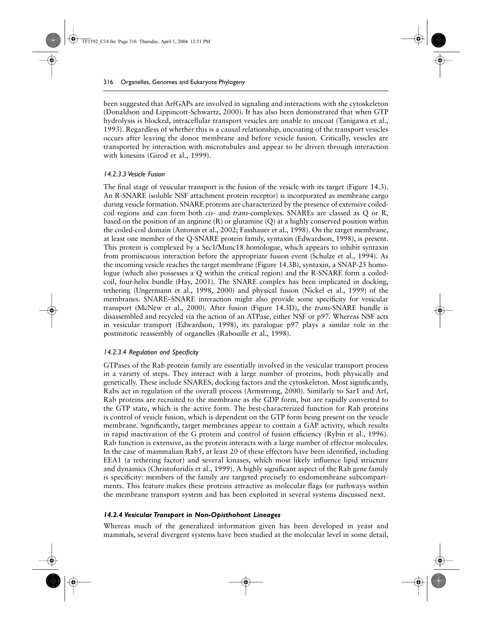been suggested that ArfGAPs are involved in signaling and interactions with the cytoskeleton (Donaldson and Lippincott-Schwartz, 2000). It has also been demonstrated that when GTP hydrolysis is blocked, intracellular transport vesicles are unable to uncoat (Tanigawa et al., 1993). Regardless of whether this is a causal relationship, uncoating of the transport vesicles occurs after leaving the donor membrane and before vesicle fusion. Critically, vesicles are transported by interaction with microtubules and appear to be driven through interaction with kinesins (Girod et al., 1999).

## *14.2.3.3 Vesicle Fusion*

The final stage of vesicular transport is the fusion of the vesicle with its target (Figure 14.3). An R-SNARE (soluble NSF attachment protein receptor) is incorporated as membrane cargo during vesicle formation. SNARE proteins are characterized by the presence of extensive coiledcoil regions and can form both *cis-* and *trans*-complexes. SNAREs are classed as Q or R, based on the position of an arginine  $(R)$  or glutamine  $(Q)$  at a highly conserved position within the coiled-coil domain (Antonin et al., 2002; Fasshauer et al., 1998). On the target membrane, at least one member of the Q-SNARE protein family, syntaxin (Edwardson, 1998), is present. This protein is complexed by a Sec1/Munc18 homologue, which appears to inhibit syntaxin from promiscuous interaction before the appropriate fusion event (Schulze et al., 1994). As the incoming vesicle reaches the target membrane (Figure 14.3B), syntaxin, a SNAP-25 homologue (which also possesses a Q within the critical region) and the R-SNARE form a coiledcoil, four-helix bundle (Hay, 2001). The SNARE complex has been implicated in docking, tethering (Ungermann et al., 1998, 2000) and physical fusion (Nickel et al., 1999) of the membranes. SNARE–SNARE interaction might also provide some specificity for vesicular transport (McNew et al., 2000). After fusion (Figure 14.3D), the *trans-*SNARE bundle is disassembled and recycled via the action of an ATPase, either NSF or p97. Whereas NSF acts in vesicular transport (Edwardson, 1998), its paralogue p97 plays a similar role in the postmitotic reassembly of organelles (Rabouille et al., 1998).

## *14.2.3.4 Regulation and Specificity*

GTPases of the Rab protein family are essentially involved in the vesicular transport process in a variety of steps. They interact with a large number of proteins, both physically and genetically. These include SNARES, docking factors and the cytoskeleton. Most significantly, Rabs act in regulation of the overall process (Armstrong, 2000). Similarly to Sar1 and Arf, Rab proteins are recruited to the membrane as the GDP form, but are rapidly converted to the GTP state, which is the active form. The best-characterized function for Rab proteins is control of vesicle fusion, which is dependent on the GTP form being present on the vesicle membrane. Significantly, target membranes appear to contain a GAP activity, which results in rapid inactivation of the G protein and control of fusion efficiency (Rybin et al., 1996). Rab function is extensive, as the protein interacts with a large number of effector molecules. In the case of mammalian Rab5, at least 20 of these effectors have been identified, including EEA1 (a tethering factor) and several kinases, which most likely influence lipid structure and dynamics (Christoforidis et al., 1999). A highly significant aspect of the Rab gene family is specificity: members of the family are targeted precisely to endomembrane subcompartments. This feature makes these proteins attractive as molecular flags for pathways within the membrane transport system and has been exploited in several systems discussed next.

#### *14.2.4 Vesicular Transport in Non-Opisthohont Lineages*

Whereas much of the generalized information given has been developed in yeast and mammals, several divergent systems have been studied at the molecular level in some detail,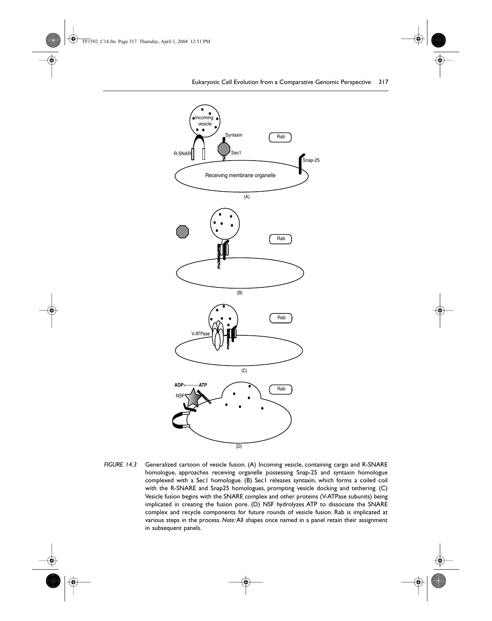

⊕



*FIGURE 14.3* Generalized cartoon of vesicle fusion. (A) Incoming vesicle, containing cargo and R-SNARE homologue, approaches receiving organelle possessing Snap-25 and syntaxin homologue complexed with a Sec1 homologue. (B) Sec1 releases syntaxin, which forms a coiled coil with the R-SNARE and Snap25 homologues, prompting vesicle docking and tethering. (C) Vesicle fusion begins with the SNARE complex and other proteins (V-ATPase subunits) being implicated in creating the fusion pore. (D) NSF hydrolyzes ATP to dissociate the SNARE complex and recycle components for future rounds of vesicle fusion. Rab is implicated at various steps in the process. *Note:* All shapes once named in a panel retain their assignment in subsequent panels.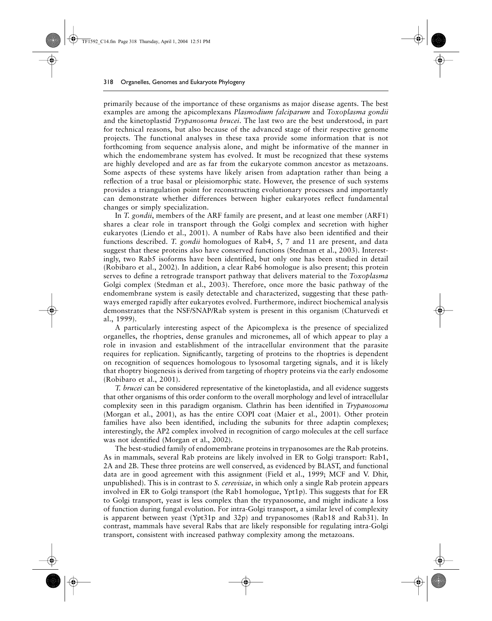primarily because of the importance of these organisms as major disease agents. The best examples are among the apicomplexans *Plasmodium falciparum* and *Toxoplasma gondii* and the kinetoplastid *Trypanosoma brucei*. The last two are the best understood, in part for technical reasons, but also because of the advanced stage of their respective genome projects. The functional analyses in these taxa provide some information that is not forthcoming from sequence analysis alone, and might be informative of the manner in which the endomembrane system has evolved. It must be recognized that these systems are highly developed and are as far from the eukaryote common ancestor as metazoans. Some aspects of these systems have likely arisen from adaptation rather than being a reflection of a true basal or pleisiomorphic state. However, the presence of such systems provides a triangulation point for reconstructing evolutionary processes and importantly can demonstrate whether differences between higher eukaryotes reflect fundamental changes or simply specialization.

In *T. gondii*, members of the ARF family are present, and at least one member (ARF1) shares a clear role in transport through the Golgi complex and secretion with higher eukaryotes (Liendo et al., 2001). A number of Rabs have also been identified and their functions described. *T. gondii* homologues of Rab4, 5, 7 and 11 are present, and data suggest that these proteins also have conserved functions (Stedman et al., 2003). Interestingly, two Rab5 isoforms have been identified, but only one has been studied in detail (Robibaro et al., 2002). In addition, a clear Rab6 homologue is also present; this protein serves to define a retrograde transport pathway that delivers material to the *Toxoplasma* Golgi complex (Stedman et al., 2003). Therefore, once more the basic pathway of the endomembrane system is easily detectable and characterized, suggesting that these pathways emerged rapidly after eukaryotes evolved. Furthermore, indirect biochemical analysis demonstrates that the NSF/SNAP/Rab system is present in this organism (Chaturvedi et al., 1999).

A particularly interesting aspect of the Apicomplexa is the presence of specialized organelles, the rhoptries, dense granules and micronemes, all of which appear to play a role in invasion and establishment of the intracellular environment that the parasite requires for replication. Significantly, targeting of proteins to the rhoptries is dependent on recognition of sequences homologous to lysosomal targeting signals, and it is likely that rhoptry biogenesis is derived from targeting of rhoptry proteins via the early endosome (Robibaro et al., 2001).

*T. brucei* can be considered representative of the kinetoplastida, and all evidence suggests that other organisms of this order conform to the overall morphology and level of intracellular complexity seen in this paradigm organism. Clathrin has been identified in *Trypanosoma* (Morgan et al., 2001), as has the entire COPI coat (Maier et al., 2001). Other protein families have also been identified, including the subunits for three adaptin complexes; interestingly, the AP2 complex involved in recognition of cargo molecules at the cell surface was not identified (Morgan et al., 2002).

The best-studied family of endomembrane proteins in trypanosomes are the Rab proteins. As in mammals, several Rab proteins are likely involved in ER to Golgi transport: Rab1, 2A and 2B. These three proteins are well conserved, as evidenced by BLAST, and functional data are in good agreement with this assignment (Field et al., 1999; MCF and V. Dhir, unpublished). This is in contrast to *S. cerevisiae*, in which only a single Rab protein appears involved in ER to Golgi transport (the Rab1 homologue, Ypt1p). This suggests that for ER to Golgi transport, yeast is less complex than the trypanosome, and might indicate a loss of function during fungal evolution. For intra-Golgi transport, a similar level of complexity is apparent between yeast (Ypt31p and 32p) and trypanosomes (Rab18 and Rab31). In contrast, mammals have several Rabs that are likely responsible for regulating intra-Golgi transport, consistent with increased pathway complexity among the metazoans.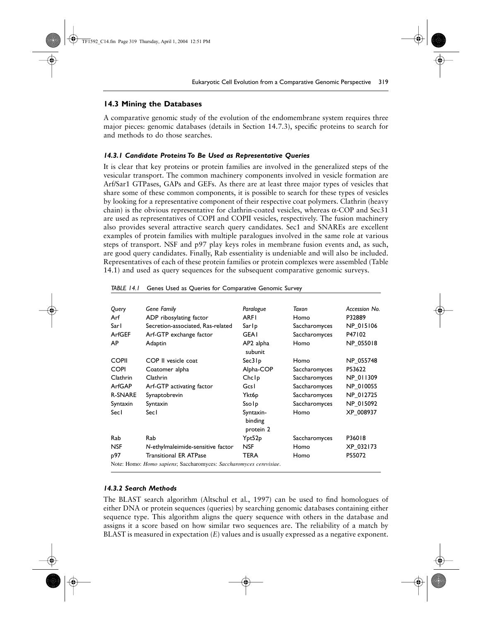## **14.3 Mining the Databases**

A comparative genomic study of the evolution of the endomembrane system requires three major pieces: genomic databases (details in Section 14.7.3), specific proteins to search for and methods to do those searches.

## *14.3.1 Candidate Proteins To Be Used as Representative Queries*

It is clear that key proteins or protein families are involved in the generalized steps of the vesicular transport. The common machinery components involved in vesicle formation are Arf/Sar1 GTPases, GAPs and GEFs. As there are at least three major types of vesicles that share some of these common components, it is possible to search for these types of vesicles by looking for a representative component of their respective coat polymers. Clathrin (heavy chain) is the obvious representative for clathrin-coated vesicles, whereas  $\alpha$ -COP and Sec31 are used as representatives of COPI and COPII vesicles, respectively. The fusion machinery also provides several attractive search query candidates. Sec1 and SNAREs are excellent examples of protein families with multiple paralogues involved in the same role at various steps of transport. NSF and p97 play keys roles in membrane fusion events and, as such, are good query candidates. Finally, Rab essentiality is undeniable and will also be included. Representatives of each of these protein families or protein complexes were assembled (Table 14.1) and used as query sequences for the subsequent comparative genomic surveys.

| Query                                                              | Gene Family                       | Paralogue          | Taxon         | Accession No. |  |  |  |
|--------------------------------------------------------------------|-----------------------------------|--------------------|---------------|---------------|--|--|--|
| Arf                                                                | ADP ribosylating factor           | ARFI               | Homo          | P32889        |  |  |  |
| Sarl                                                               | Secretion-associated, Ras-related | Sarlp              | Saccharomyces | NP 015106     |  |  |  |
| <b>ArfGEF</b>                                                      | Arf-GTP exchange factor           | <b>GEA1</b>        | Saccharomyces | P47102        |  |  |  |
| AP                                                                 | Adaptin                           | AP2 alpha          | Homo          | NP 055018     |  |  |  |
|                                                                    |                                   | subunit            |               |               |  |  |  |
| COPII                                                              | COP II vesicle coat               | Sec31 <sub>p</sub> | Homo          | NP 055748     |  |  |  |
| <b>COPI</b>                                                        | Coatomer alpha                    | Alpha-COP          | Saccharomyces | P53622        |  |  |  |
| Clathrin                                                           | Clathrin                          | Chclp              | Saccharomyces | NP 011309     |  |  |  |
| ArfGAP                                                             | Arf-GTP activating factor         | Gcsl               | Saccharomyces | NP_010055     |  |  |  |
| <b>R-SNARE</b>                                                     | Synaptobrevin                     | Ykt6p              | Saccharomyces | NP 012725     |  |  |  |
| Syntaxin                                                           | Syntaxin                          | Ssolp              | Saccharomyces | NP 015092     |  |  |  |
| Secl                                                               | Secl                              | Syntaxin-          | Homo          | XP 008937     |  |  |  |
|                                                                    |                                   | binding            |               |               |  |  |  |
|                                                                    |                                   | protein 2          |               |               |  |  |  |
| Rab                                                                | Rab                               | Ypt52p             | Saccharomyces | P36018        |  |  |  |
| <b>NSF</b>                                                         | N-ethylmaleimide-sensitive factor | <b>NSF</b>         | Homo          | XP 032173     |  |  |  |
| p97                                                                | <b>Transitional ER ATPase</b>     | <b>TERA</b>        | Homo          | P55072        |  |  |  |
| Note: Homo: Homo sapiens; Saccharomyces: Saccharomyces cerevisiae. |                                   |                    |               |               |  |  |  |

*TABLE 14.1* Genes Used as Queries for Comparative Genomic Survey

## *14.3.2 Search Methods*

The BLAST search algorithm (Altschul et al*.*, 1997) can be used to find homologues of either DNA or protein sequences (queries) by searching genomic databases containing either sequence type. This algorithm aligns the query sequence with others in the database and assigns it a score based on how similar two sequences are. The reliability of a match by BLAST is measured in expectation (*E*) values and is usually expressed as a negative exponent.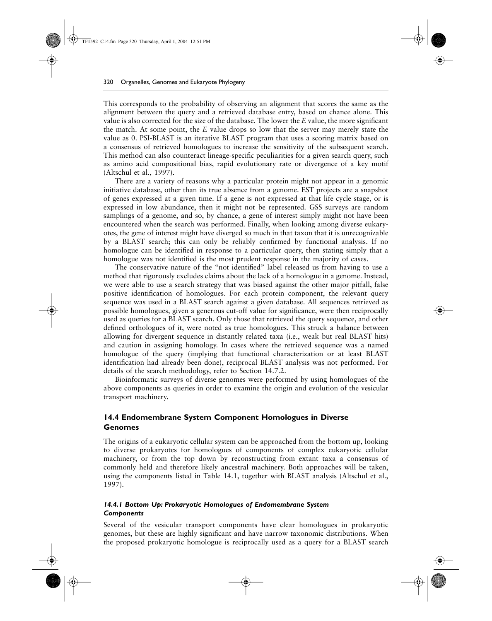This corresponds to the probability of observing an alignment that scores the same as the alignment between the query and a retrieved database entry, based on chance alone. This value is also corrected for the size of the database. The lower the *E* value, the more significant the match. At some point, the *E* value drops so low that the server may merely state the value as 0. PSI-BLAST is an iterative BLAST program that uses a scoring matrix based on a consensus of retrieved homologues to increase the sensitivity of the subsequent search. This method can also counteract lineage-specific peculiarities for a given search query, such as amino acid compositional bias, rapid evolutionary rate or divergence of a key motif (Altschul et al., 1997).

There are a variety of reasons why a particular protein might not appear in a genomic initiative database, other than its true absence from a genome. EST projects are a snapshot of genes expressed at a given time. If a gene is not expressed at that life cycle stage, or is expressed in low abundance, then it might not be represented. GSS surveys are random samplings of a genome, and so, by chance, a gene of interest simply might not have been encountered when the search was performed. Finally, when looking among diverse eukaryotes, the gene of interest might have diverged so much in that taxon that it is unrecognizable by a BLAST search; this can only be reliably confirmed by functional analysis. If no homologue can be identified in response to a particular query, then stating simply that a homologue was not identified is the most prudent response in the majority of cases.

The conservative nature of the "not identified" label released us from having to use a method that rigorously excludes claims about the lack of a homologue in a genome. Instead, we were able to use a search strategy that was biased against the other major pitfall, false positive identification of homologues. For each protein component, the relevant query sequence was used in a BLAST search against a given database. All sequences retrieved as possible homologues, given a generous cut-off value for significance, were then reciprocally used as queries for a BLAST search. Only those that retrieved the query sequence, and other defined orthologues of it, were noted as true homologues. This struck a balance between allowing for divergent sequence in distantly related taxa (i.e., weak but real BLAST hits) and caution in assigning homology. In cases where the retrieved sequence was a named homologue of the query (implying that functional characterization or at least BLAST identification had already been done), reciprocal BLAST analysis was not performed. For details of the search methodology, refer to Section 14.7.2.

Bioinformatic surveys of diverse genomes were performed by using homologues of the above components as queries in order to examine the origin and evolution of the vesicular transport machinery.

## **14.4 Endomembrane System Component Homologues in Diverse Genomes**

The origins of a eukaryotic cellular system can be approached from the bottom up, looking to diverse prokaryotes for homologues of components of complex eukaryotic cellular machinery, or from the top down by reconstructing from extant taxa a consensus of commonly held and therefore likely ancestral machinery. Both approaches will be taken, using the components listed in Table 14.1, together with BLAST analysis (Altschul et al., 1997).

## *14.4.1 Bottom Up: Prokaryotic Homologues of Endomembrane System Components*

Several of the vesicular transport components have clear homologues in prokaryotic genomes, but these are highly significant and have narrow taxonomic distributions. When the proposed prokaryotic homologue is reciprocally used as a query for a BLAST search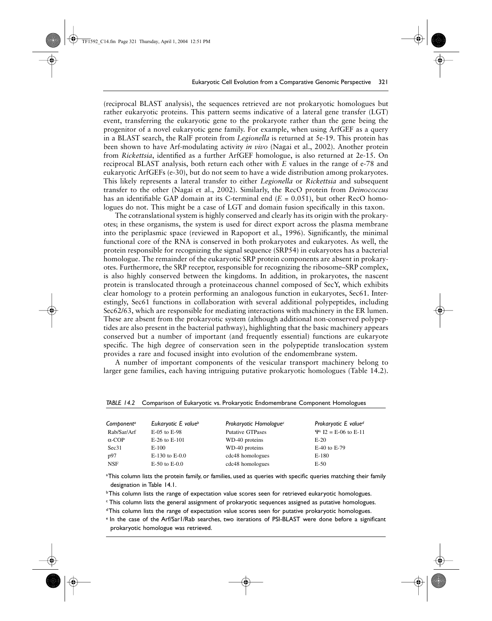(reciprocal BLAST analysis), the sequences retrieved are not prokaryotic homologues but rather eukaryotic proteins. This pattern seems indicative of a lateral gene transfer (LGT) event, transferring the eukaryotic gene to the prokaryote rather than the gene being the progenitor of a novel eukaryotic gene family. For example, when using ArfGEF as a query in a BLAST search, the RalF protein from *Legionella* is returned at 5e-19. This protein has been shown to have Arf-modulating activity *in vivo* (Nagai et al., 2002). Another protein from *Rickettsia*, identified as a further ArfGEF homologue, is also returned at 2e-15. On reciprocal BLAST analysis, both return each other with *E* values in the range of e-78 and eukaryotic ArfGEFs (e-30), but do not seem to have a wide distribution among prokaryotes. This likely represents a lateral transfer to either *Legionella* or *Rickettsia* and subsequent transfer to the other (Nagai et al., 2002). Similarly, the RecO protein from *Deinococcus* has an identifiable GAP domain at its C-terminal end  $(E = 0.051)$ , but other RecO homologues do not. This might be a case of LGT and domain fusion specifically in this taxon.

The cotranslational system is highly conserved and clearly has its origin with the prokaryotes; in these organisms, the system is used for direct export across the plasma membrane into the periplasmic space (reviewed in Rapoport et al., 1996). Significantly, the minimal functional core of the RNA is conserved in both prokaryotes and eukaryotes. As well, the protein responsible for recognizing the signal sequence (SRP54) in eukaryotes has a bacterial homologue. The remainder of the eukaryotic SRP protein components are absent in prokaryotes. Furthermore, the SRP receptor, responsible for recognizing the ribosome–SRP complex, is also highly conserved between the kingdoms. In addition, in prokaryotes, the nascent protein is translocated through a proteinaceous channel composed of SecY, which exhibits clear homology to a protein performing an analogous function in eukaryotes, Sec61. Interestingly, Sec61 functions in collaboration with several additional polypeptides, including Sec62/63, which are responsible for mediating interactions with machinery in the ER lumen. These are absent from the prokaryotic system (although additional non-conserved polypeptides are also present in the bacterial pathway), highlighting that the basic machinery appears conserved but a number of important (and frequently essential) functions are eukaryote specific. The high degree of conservation seen in the polypeptide translocation system provides a rare and focused insight into evolution of the endomembrane system.

A number of important components of the vesicular transport machinery belong to larger gene families, each having intriguing putative prokaryotic homologues (Table 14.2).

| Component <sup>a</sup> | Eukaryotic E value <sup>b</sup> | Prokaryotic Homologue <sup>c</sup> | Prokaryotic E value <sup>d</sup> |
|------------------------|---------------------------------|------------------------------------|----------------------------------|
| Rab/Sar/Arf            | $E-05$ to $E-98$                | <b>Putative GTPases</b>            | $\Psi^e$ I2 = E-06 to E-11       |
| $\alpha$ -COP          | $E-26$ to $E-101$               | WD-40 proteins                     | $E-20$                           |
| Sec <sub>31</sub>      | $E-100$                         | WD-40 proteins                     | $E-40$ to $E-79$                 |
| p97                    | $E-130$ to $E-0.0$              | cdc48 homologues                   | $E-180$                          |
| <b>NSF</b>             | $E-50$ to $E-0.0$               | cdc48 homologues                   | $E-50$                           |

#### *TABLE 14.2* Comparison of Eukaryotic vs. Prokaryotic Endomembrane Component Homologues

a This column lists the protein family, or families, used as queries with specific queries matching their family designation in Table 14.1.

b This column lists the range of expectation value scores seen for retrieved eukaryotic homologues.

c This column lists the general assignment of prokaryotic sequences assigned as putative homologues.

<sup>d</sup>This column lists the range of expectation value scores seen for putative prokaryotic homologues.

e In the case of the Arf/Sar1/Rab searches, two iterations of PSI-BLAST were done before a significant prokaryotic homologue was retrieved.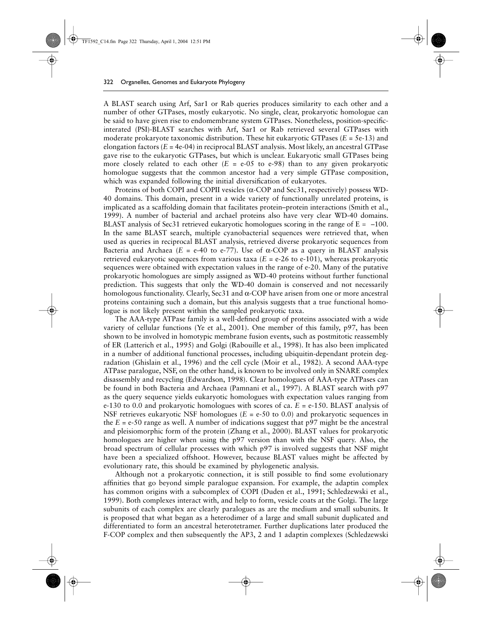A BLAST search using Arf, Sar1 or Rab queries produces similarity to each other and a number of other GTPases, mostly eukaryotic. No single, clear, prokaryotic homologue can be said to have given rise to endomembrane system GTPases. Nonetheless, position-specificinterated (PSI)-BLAST searches with Arf, Sar1 or Rab retrieved several GTPases with moderate prokaryote taxonomic distribution. These hit eukaryotic GTPases (*E* = 5e-13) and elongation factors (*E* = 4e-04) in reciprocal BLAST analysis. Most likely, an ancestral GTPase gave rise to the eukaryotic GTPases, but which is unclear. Eukaryotic small GTPases being more closely related to each other  $(E = e^{-0.05})$  to e-98) than to any given prokaryotic homologue suggests that the common ancestor had a very simple GTPase composition, which was expanded following the initial diversification of eukaryotes.

Proteins of both COPI and COPII vesicles  $(\alpha$ -COP and Sec31, respectively) possess WD-40 domains. This domain, present in a wide variety of functionally unrelated proteins, is implicated as a scaffolding domain that facilitates protein–protein interactions (Smith et al., 1999). A number of bacterial and archael proteins also have very clear WD-40 domains. BLAST analysis of Sec31 retrieved eukaryotic homologues scoring in the range of  $E = -100$ . In the same BLAST search, multiple cyanobacterial sequences were retrieved that, when used as queries in reciprocal BLAST analysis, retrieved diverse prokaryotic sequences from Bacteria and Archaea ( $E = e^{-40}$  to e-77). Use of  $\alpha$ -COP as a query in BLAST analysis retrieved eukaryotic sequences from various taxa (*E* = e-26 to e-101), whereas prokaryotic sequences were obtained with expectation values in the range of e-20. Many of the putative prokaryotic homologues are simply assigned as WD-40 proteins without further functional prediction. This suggests that only the WD-40 domain is conserved and not necessarily homologous functionality. Clearly, Sec31 and  $\alpha$ -COP have arisen from one or more ancestral proteins containing such a domain, but this analysis suggests that a true functional homologue is not likely present within the sampled prokaryotic taxa.

The AAA-type ATPase family is a well-defined group of proteins associated with a wide variety of cellular functions (Ye et al., 2001). One member of this family, p97, has been shown to be involved in homotypic membrane fusion events, such as postmitotic reassembly of ER (Latterich et al., 1995) and Golgi (Rabouille et al., 1998). It has also been implicated in a number of additional functional processes, including ubiquitin-dependant protein degradation (Ghislain et al., 1996) and the cell cycle (Moir et al., 1982). A second AAA-type ATPase paralogue, NSF, on the other hand, is known to be involved only in SNARE complex disassembly and recycling (Edwardson, 1998). Clear homologues of AAA-type ATPases can be found in both Bacteria and Archaea (Pamnani et al., 1997). A BLAST search with p97 as the query sequence yields eukaryotic homologues with expectation values ranging from e-130 to 0.0 and prokaryotic homologues with scores of ca. *E* = e-150. BLAST analysis of NSF retrieves eukaryotic NSF homologues (*E* = e-50 to 0.0) and prokaryotic sequences in the  $E = e-50$  range as well. A number of indications suggest that  $p97$  might be the ancestral and pleisiomorphic form of the protein (Zhang et al., 2000). BLAST values for prokaryotic homologues are higher when using the p97 version than with the NSF query. Also, the broad spectrum of cellular processes with which p97 is involved suggests that NSF might have been a specialized offshoot. However, because BLAST values might be affected by evolutionary rate, this should be examined by phylogenetic analysis.

Although not a prokaryotic connection, it is still possible to find some evolutionary affinities that go beyond simple paralogue expansion. For example, the adaptin complex has common origins with a subcomplex of COPI (Duden et al., 1991; Schledzewski et al., 1999). Both complexes interact with, and help to form, vesicle coats at the Golgi. The large subunits of each complex are clearly paralogues as are the medium and small subunits. It is proposed that what began as a heterodimer of a large and small subunit duplicated and differentiated to form an ancestral heterotetramer. Further duplications later produced the F-COP complex and then subsequently the AP3, 2 and 1 adaptin complexes (Schledzewski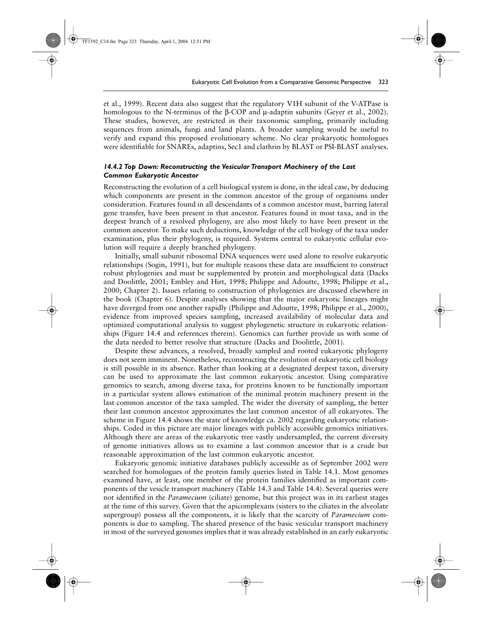et al., 1999). Recent data also suggest that the regulatory V1H subunit of the V-ATPase is homologous to the N-terminus of the  $\beta$ -COP and  $\mu$ -adaptin subunits (Geyer et al., 2002). These studies, however, are restricted in their taxonomic sampling, primarily including sequences from animals, fungi and land plants. A broader sampling would be useful to

TF1592\_C14.fm Page 323 Thursday, April 1, 2004 12:51 PM

verify and expand this proposed evolutionary scheme. No clear prokaryotic homologues were identifiable for SNAREs, adaptins, Sec1 and clathrin by BLAST or PSI-BLAST analyses.

## *14.4.2 Top Down: Reconstructing the Vesicular Transport Machinery of the Last Common Eukaryotic Ancestor*

Reconstructing the evolution of a cell biological system is done, in the ideal case, by deducing which components are present in the common ancestor of the group of organisms under consideration. Features found in all descendants of a common ancestor must, barring lateral gene transfer, have been present in that ancestor. Features found in most taxa, and in the deepest branch of a resolved phylogeny, are also most likely to have been present in the common ancestor. To make such deductions, knowledge of the cell biology of the taxa under examination, plus their phylogeny, is required. Systems central to eukaryotic cellular evolution will require a deeply branched phylogeny.

Initially, small subunit ribosomal DNA sequences were used alone to resolve eukaryotic relationships (Sogin, 1991), but for multiple reasons these data are insufficient to construct robust phylogenies and must be supplemented by protein and morphological data (Dacks and Doolittle, 2001; Embley and Hirt, 1998; Philippe and Adoutte, 1998; Philippe et al., 2000; Chapter 2). Issues relating to construction of phylogenies are discussed elsewhere in the book (Chapter 6). Despite analyses showing that the major eukaryotic lineages might have diverged from one another rapidly (Philippe and Adoutte, 1998; Philippe et al., 2000), evidence from improved species sampling, increased availability of molecular data and optimized computational analysis to suggest phylogenetic structure in eukaryotic relationships (Figure 14.4 and references therein). Genomics can further provide us with some of the data needed to better resolve that structure (Dacks and Doolittle, 2001).

Despite these advances, a resolved, broadly sampled and rooted eukaryotic phylogeny does not seem imminent. Nonetheless, reconstructing the evolution of eukaryotic cell biology is still possible in its absence. Rather than looking at a designated deepest taxon, diversity can be used to approximate the last common eukaryotic ancestor. Using comparative genomics to search, among diverse taxa, for proteins known to be functionally important in a particular system allows estimation of the minimal protein machinery present in the last common ancestor of the taxa sampled. The wider the diversity of sampling, the better their last common ancestor approximates the last common ancestor of all eukaryotes. The scheme in Figure 14.4 shows the state of knowledge ca. 2002 regarding eukaryotic relationships. Coded in this picture are major lineages with publicly accessible genomics initiatives. Although there are areas of the eukaryotic tree vastly undersampled, the current diversity of genome initiatives allows us to examine a last common ancestor that is a crude but reasonable approximation of the last common eukaryotic ancestor.

Eukaryotic genomic initiative databases publicly accessible as of September 2002 were searched for homologues of the protein family queries listed in Table 14.1. Most genomes examined have, at least, one member of the protein families identified as important components of the vesicle transport machinery (Table 14.3 and Table 14.4). Several queries were not identified in the *Paramecium* (ciliate) genome, but this project was in its earliest stages at the time of this survey. Given that the apicomplexans (sisters to the ciliates in the alveolate supergroup) possess all the components, it is likely that the scarcity of *Paramecium* components is due to sampling. The shared presence of the basic vesicular transport machinery in most of the surveyed genomes implies that it was already established in an early eukaryotic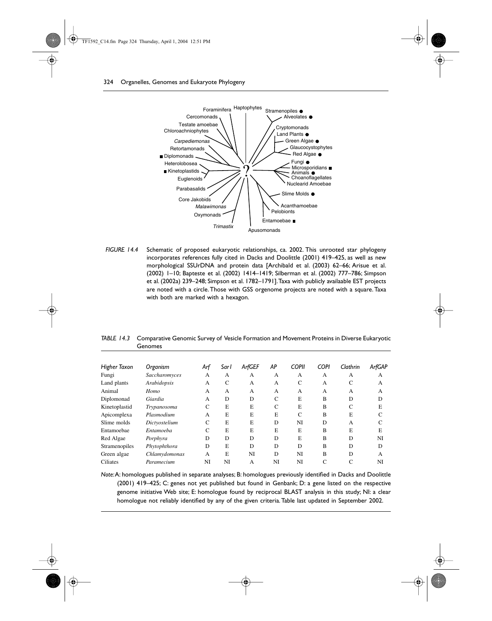

*FIGURE 14.4* Schematic of proposed eukaryotic relationships, ca. 2002. This unrooted star phylogeny incorporates references fully cited in Dacks and Doolittle (2001) 419–425, as well as new morphological SSUrDNA and protein data [Archibald et al. (2003) 62–66; Arisue et al. (2002) 1–10; Bapteste et al. (2002) 1414–1419; Silberman et al. (2002) 777–786; Simpson et al. (2002a) 239–248; Simpson et al. 1782–1791]. Taxa with publicly availaable EST projects are noted with a circle. Those with GSS orgenome projects are noted with a square. Taxa with both are marked with a hexagon.

## *TABLE 14.3* Comparative Genomic Survey of Vesicle Formation and Movement Proteins in Diverse Eukaryotic Genomes

| Higher Taxon  | Organism      | Arf | Sarl | ArfGEF | ΑP | <b>COPII</b> | <b>COPI</b>    | Clathrin | ArfGAP |
|---------------|---------------|-----|------|--------|----|--------------|----------------|----------|--------|
| Fungi         | Saccharomyces | A   | A    | A      | А  | A            | A              | A        | A      |
| Land plants   | Arabidopsis   | A   | C    | А      | A  | C            | A              | C        | A      |
| Animal        | Homo          | A   | A    | A      | A  | A            | $\overline{A}$ | A        | A      |
| Diplomonad    | Giardia       | A   | D    | D      | C  | E            | B              | D        | D      |
| Kinetoplastid | Trypanosoma   | C   | E    | E      | C  | E            | B              | C        | E      |
| Apicomplexa   | Plasmodium    | A   | E    | E      | E  | C            | B              | E        | C      |
| Slime molds   | Dictyostelium | C   | E    | E      | D  | NI           | D              | A        | C      |
| Entamoebae    | Entamoeba     | C   | E    | E      | E  | E            | B              | E        | E      |
| Red Algae     | Porphyra      | D   | D    | D      | D  | E            | B              | D        | NI     |
| Stramenopiles | Phytophthora  | D   | E    | D      | D  | D            | B              | D        | D      |
| Green algae   | Chlamydomonas | A   | E    | NI     | D  | NI           | B              | D        | A      |
| Ciliates      | Paramecium    | NI  | NI   | A      | NI | NI           | C              |          | NI     |

*Note:* A: homologues published in separate analyses; B: homologues previously identified in Dacks and Doolittle (2001) 419–425; C: genes not yet published but found in Genbank; D: a gene listed on the respective genome initiative Web site; E: homologue found by reciprocal BLAST analysis in this study; NI: a clear homologue not reliably identified by any of the given criteria. Table last updated in September 2002.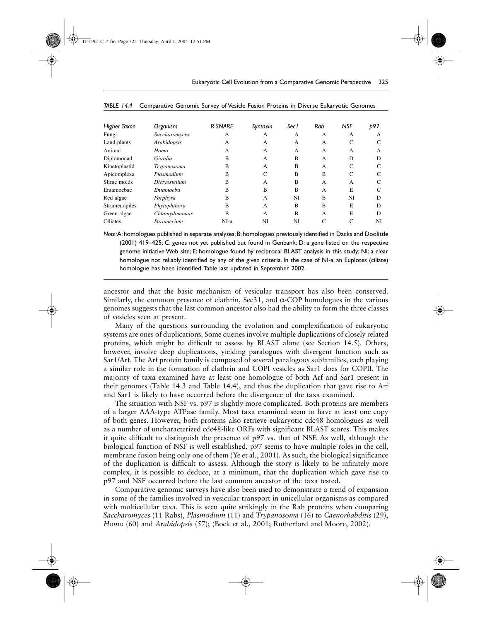#### Eukaryotic Cell Evolution from a Comparative Genomic Perspective 325

| Higher Taxon  | Organism      | <b>R-SNARE</b> | Syntaxin | Sec1 | Rab          | <b>NSF</b> | <b>b97</b> |
|---------------|---------------|----------------|----------|------|--------------|------------|------------|
| Fungi         | Saccharomyces | А              | A        | A    | A            | A          | A          |
| Land plants   | Arabidopsis   | А              | A        | A    | A            | C          | C          |
| Animal        | Homo          | А              | A        | A    | $\mathsf{A}$ | A          | A          |
| Diplomonad    | Giardia       | B              | A        | B    | A            | D          | D          |
| Kinetoplastid | Trypanosoma   | B              | A        | B    | A            | C          | C          |
| Apicomplexa   | Plasmodium    | B              | C        | B    | B            | C          | C          |
| Slime molds   | Dictyostelium | B              | A        | B    | A            | A          | C          |
| Entamoebae    | Entamoeba     | B              | B        | B    | A            | E          | C          |
| Red algae     | Porphyra      | B              | A        | NI   | B            | NI         | D          |
| Stramenopiles | Phytophthora  | B              | A        | B    | B            | E          | D          |
| Green algae   | Chlamydomonas | B              | A        | B    | A            | E          | D          |
| Ciliates      | Paramecium    | NI-a           | NI       | NI   | C            | C          | NI         |

#### *TABLE 14.4* Comparative Genomic Survey of Vesicle Fusion Proteins in Diverse Eukaryotic Genomes

*Note:* A: homologues published in separate analyses; B: homologues previously identified in Dacks and Doolittle (2001) 419–425; C: genes not yet published but found in Genbank; D: a gene listed on the respective genome initiative Web site; E: homologue found by reciprocal BLAST analysis in this study; NI: a clear homologue not reliably identified by any of the given criteria. In the case of NI-a, an Euplotes (ciliate) homologue has been identified. Table last updated in September 2002.

ancestor and that the basic mechanism of vesicular transport has also been conserved. Similarly, the common presence of clathrin, Sec31, and  $\alpha$ -COP homologues in the various genomes suggests that the last common ancestor also had the ability to form the three classes of vesicles seen at present.

Many of the questions surrounding the evolution and complexification of eukaryotic systems are ones of duplications. Some queries involve multiple duplications of closely related proteins, which might be difficult to assess by BLAST alone (see Section 14.5). Others, however, involve deep duplications, yielding paralogues with divergent function such as Sar1/Arf. The Arf protein family is composed of several paralogous subfamilies, each playing a similar role in the formation of clathrin and COPI vesicles as Sar1 does for COPII. The majority of taxa examined have at least one homologue of both Arf and Sar1 present in their genomes (Table 14.3 and Table 14.4), and thus the duplication that gave rise to Arf and Sar1 is likely to have occurred before the divergence of the taxa examined.

The situation with NSF vs. p97 is slightly more complicated. Both proteins are members of a larger AAA-type ATPase family. Most taxa examined seem to have at least one copy of both genes. However, both proteins also retrieve eukaryotic cdc48 homologues as well as a number of uncharacterized cdc48-like ORFs with significant BLAST scores. This makes it quite difficult to distinguish the presence of p97 vs. that of NSF. As well, although the biological function of NSF is well established, p97 seems to have multiple roles in the cell, membrane fusion being only one of them (Ye et al., 2001). As such, the biological significance of the duplication is difficult to assess. Although the story is likely to be infinitely more complex, it is possible to deduce, at a minimum, that the duplication which gave rise to p97 and NSF occurred before the last common ancestor of the taxa tested.

Comparative genomic surveys have also been used to demonstrate a trend of expansion in some of the families involved in vesicular transport in unicellular organisms as compared with multicellular taxa. This is seen quite strikingly in the Rab proteins when comparing *Saccharomyces* (11 Rabs), *Plasmodium* (11) and *Trypanosoma* (16) to *Caenorhabditis* (29), *Homo* (60) and *Arabidopsis* (57); (Bock et al., 2001; Rutherford and Moore, 2002).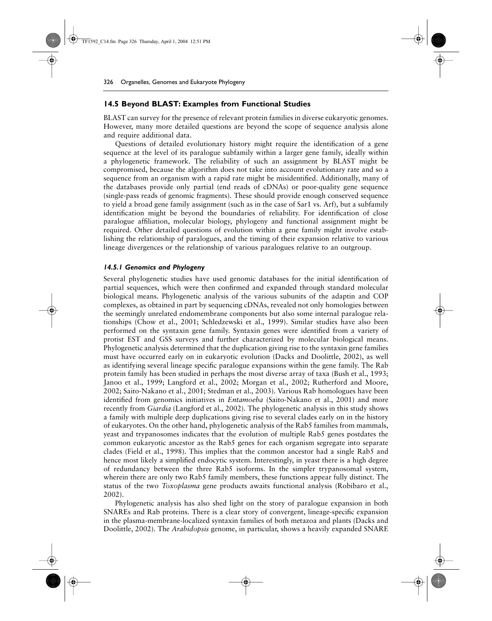## **14.5 Beyond BLAST: Examples from Functional Studies**

BLAST can survey for the presence of relevant protein families in diverse eukaryotic genomes. However, many more detailed questions are beyond the scope of sequence analysis alone and require additional data.

Questions of detailed evolutionary history might require the identification of a gene sequence at the level of its paralogue subfamily within a larger gene family, ideally within a phylogenetic framework. The reliability of such an assignment by BLAST might be compromised, because the algorithm does not take into account evolutionary rate and so a sequence from an organism with a rapid rate might be misidentified. Additionally, many of the databases provide only partial (end reads of cDNAs) or poor-quality gene sequence (single-pass reads of genomic fragments). These should provide enough conserved sequence to yield a broad gene family assignment (such as in the case of Sar1 vs. Arf), but a subfamily identification might be beyond the boundaries of reliability. For identification of close paralogue affiliation, molecular biology, phylogeny and functional assignment might be required. Other detailed questions of evolution within a gene family might involve establishing the relationship of paralogues, and the timing of their expansion relative to various lineage divergences or the relationship of various paralogues relative to an outgroup.

## *14.5.1 Genomics and Phylogeny*

Several phylogenetic studies have used genomic databases for the initial identification of partial sequences, which were then confirmed and expanded through standard molecular biological means. Phylogenetic analysis of the various subunits of the adaptin and COP complexes, as obtained in part by sequencing cDNAs, revealed not only homologies between the seemingly unrelated endomembrane components but also some internal paralogue relationships (Chow et al., 2001; Schledzewski et al., 1999). Similar studies have also been performed on the syntaxin gene family. Syntaxin genes were identified from a variety of protist EST and GSS surveys and further characterized by molecular biological means. Phylogenetic analysis determined that the duplication giving rise to the syntaxin gene families must have occurred early on in eukaryotic evolution (Dacks and Doolittle, 2002), as well as identifying several lineage specific paralogue expansions within the gene family. The Rab protein family has been studied in perhaps the most diverse array of taxa (Bush et al., 1993; Janoo et al., 1999; Langford et al., 2002; Morgan et al., 2002; Rutherford and Moore, 2002; Saito-Nakano et al., 2001; Stedman et al., 2003). Various Rab homologues have been identified from genomics initiatives in *Entamoeba* (Saito-Nakano et al., 2001) and more recently from *Giardia* (Langford et al., 2002). The phylogenetic analysis in this study shows a family with multiple deep duplications giving rise to several clades early on in the history of eukaryotes. On the other hand, phylogenetic analysis of the Rab5 families from mammals, yeast and trypanosomes indicates that the evolution of multiple Rab5 genes postdates the common eukaryotic ancestor as the Rab5 genes for each organism segregate into separate clades (Field et al., 1998). This implies that the common ancestor had a single Rab5 and hence most likely a simplified endocytic system. Interestingly, in yeast there is a high degree of redundancy between the three Rab5 isoforms. In the simpler trypanosomal system, wherein there are only two Rab5 family members, these functions appear fully distinct. The status of the two *Toxoplasma* gene products awaits functional analysis (Robibaro et al., 2002).

Phylogenetic analysis has also shed light on the story of paralogue expansion in both SNAREs and Rab proteins. There is a clear story of convergent, lineage-specific expansion in the plasma-membrane-localized syntaxin families of both metazoa and plants (Dacks and Doolittle, 2002). The *Arabidopsis* genome, in particular, shows a heavily expanded SNARE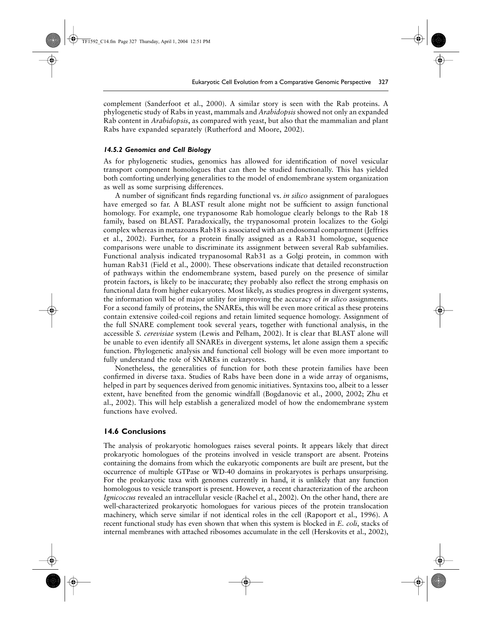complement (Sanderfoot et al., 2000). A similar story is seen with the Rab proteins. A phylogenetic study of Rabs in yeast, mammals and *Arabidopsis* showed not only an expanded Rab content in *Arabidopsis*, as compared with yeast, but also that the mammalian and plant Rabs have expanded separately (Rutherford and Moore, 2002).

## *14.5.2 Genomics and Cell Biology*

TF1592\_C14.fm Page 327 Thursday, April 1, 2004 12:51 PM

As for phylogenetic studies, genomics has allowed for identification of novel vesicular transport component homologues that can then be studied functionally. This has yielded both comforting underlying generalities to the model of endomembrane system organization as well as some surprising differences.

A number of significant finds regarding functional vs. *in silico* assignment of paralogues have emerged so far. A BLAST result alone might not be sufficient to assign functional homology. For example, one trypanosome Rab homologue clearly belongs to the Rab 18 family, based on BLAST. Paradoxically, the trypanosomal protein localizes to the Golgi complex whereas in metazoans Rab18 is associated with an endosomal compartment (Jeffries et al., 2002). Further, for a protein finally assigned as a Rab31 homologue, sequence comparisons were unable to discriminate its assignment between several Rab subfamilies. Functional analysis indicated trypanosomal Rab31 as a Golgi protein, in common with human Rab31 (Field et al., 2000). These observations indicate that detailed reconstruction of pathways within the endomembrane system, based purely on the presence of similar protein factors, is likely to be inaccurate; they probably also reflect the strong emphasis on functional data from higher eukaryotes. Most likely, as studies progress in divergent systems, the information will be of major utility for improving the accuracy of *in silico* assignments. For a second family of proteins, the SNAREs, this will be even more critical as these proteins contain extensive coiled-coil regions and retain limited sequence homology. Assignment of the full SNARE complement took several years, together with functional analysis, in the accessible *S. cerevisiae* system (Lewis and Pelham, 2002). It is clear that BLAST alone will be unable to even identify all SNAREs in divergent systems, let alone assign them a specific function. Phylogenetic analysis and functional cell biology will be even more important to fully understand the role of SNAREs in eukaryotes.

Nonetheless, the generalities of function for both these protein families have been confirmed in diverse taxa. Studies of Rabs have been done in a wide array of organisms, helped in part by sequences derived from genomic initiatives. Syntaxins too, albeit to a lesser extent, have benefited from the genomic windfall (Bogdanovic et al., 2000, 2002; Zhu et al., 2002). This will help establish a generalized model of how the endomembrane system functions have evolved.

## **14.6 Conclusions**

The analysis of prokaryotic homologues raises several points. It appears likely that direct prokaryotic homologues of the proteins involved in vesicle transport are absent. Proteins containing the domains from which the eukaryotic components are built are present, but the occurrence of multiple GTPase or WD-40 domains in prokaryotes is perhaps unsurprising. For the prokaryotic taxa with genomes currently in hand, it is unlikely that any function homologous to vesicle transport is present. However, a recent characterization of the archeon *Ignicoccus* revealed an intracellular vesicle (Rachel et al., 2002). On the other hand, there are well-characterized prokaryotic homologues for various pieces of the protein translocation machinery, which serve similar if not identical roles in the cell (Rapoport et al., 1996). A recent functional study has even shown that when this system is blocked in *E. coli*, stacks of internal membranes with attached ribosomes accumulate in the cell (Herskovits et al., 2002),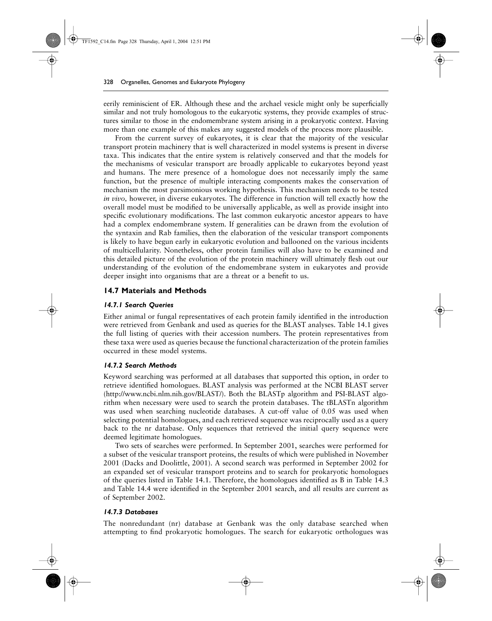eerily reminiscient of ER. Although these and the archael vesicle might only be superficially similar and not truly homologous to the eukaryotic systems, they provide examples of structures similar to those in the endomembrane system arising in a prokaryotic context. Having more than one example of this makes any suggested models of the process more plausible.

From the current survey of eukaryotes, it is clear that the majority of the vesicular transport protein machinery that is well characterized in model systems is present in diverse taxa. This indicates that the entire system is relatively conserved and that the models for the mechanisms of vesicular transport are broadly applicable to eukaryotes beyond yeast and humans. The mere presence of a homologue does not necessarily imply the same function, but the presence of multiple interacting components makes the conservation of mechanism the most parsimonious working hypothesis. This mechanism needs to be tested *in vivo,* however, in diverse eukaryotes. The difference in function will tell exactly how the overall model must be modified to be universally applicable, as well as provide insight into specific evolutionary modifications. The last common eukaryotic ancestor appears to have had a complex endomembrane system. If generalities can be drawn from the evolution of the syntaxin and Rab families, then the elaboration of the vesicular transport components is likely to have begun early in eukaryotic evolution and ballooned on the various incidents of multicellularity. Nonetheless, other protein families will also have to be examined and this detailed picture of the evolution of the protein machinery will ultimately flesh out our understanding of the evolution of the endomembrane system in eukaryotes and provide deeper insight into organisms that are a threat or a benefit to us.

## **14.7 Materials and Methods**

## *14.7.1 Search Queries*

Either animal or fungal representatives of each protein family identified in the introduction were retrieved from Genbank and used as queries for the BLAST analyses. Table 14.1 gives the full listing of queries with their accession numbers. The protein representatives from these taxa were used as queries because the functional characterization of the protein families occurred in these model systems.

#### *14.7.2 Search Methods*

Keyword searching was performed at all databases that supported this option, in order to retrieve identified homologues. BLAST analysis was performed at the NCBI BLAST server (http://www.ncbi.nlm.nih.gov/BLAST/). Both the BLASTp algorithm and PSI-BLAST algorithm when necessary were used to search the protein databases. The tBLASTn algorithm was used when searching nucleotide databases. A cut-off value of 0.05 was used when selecting potential homologues, and each retrieved sequence was reciprocally used as a query back to the nr database. Only sequences that retrieved the initial query sequence were deemed legitimate homologues.

Two sets of searches were performed. In September 2001, searches were performed for a subset of the vesicular transport proteins, the results of which were published in November 2001 (Dacks and Doolittle, 2001). A second search was performed in September 2002 for an expanded set of vesicular transport proteins and to search for prokaryotic homologues of the queries listed in Table 14.1. Therefore, the homologues identified as B in Table 14.3 and Table 14.4 were identified in the September 2001 search, and all results are current as of September 2002.

## *14.7.3 Databases*

The nonredundant (nr) database at Genbank was the only database searched when attempting to find prokaryotic homologues. The search for eukaryotic orthologues was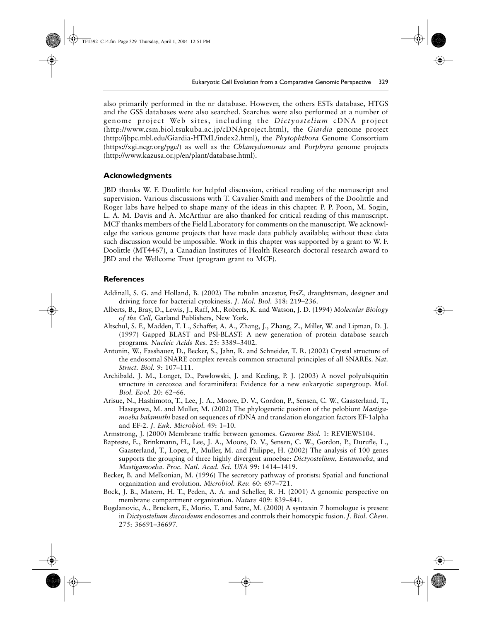also primarily performed in the nr database. However, the others ESTs database, HTGS and the GSS databases were also searched. Searches were also performed at a number of genome project Web sites, including the *Dictyostelium* cDNA project (http://www.csm.biol.tsukuba.ac.jp/cDNAproject.html), the *Giardia* genome project (http://jbpc.mbl.edu/Giardia-HTML/index2.html), the *Phytophthora* Genome Consortium (https://xgi.ncgr.org/pgc/) as well as the *Chlamydomonas* and *Porphyra* genome projects (http://www.kazusa.or.jp/en/plant/database.html).

## **Acknowledgments**

JBD thanks W. F. Doolittle for helpful discussion, critical reading of the manuscript and supervision. Various discussions with T. Cavalier-Smith and members of the Doolittle and Roger labs have helped to shape many of the ideas in this chapter. P. P. Poon, M. Sogin, L. A. M. Davis and A. McArthur are also thanked for critical reading of this manuscript. MCF thanks members of the Field Laboratory for comments on the manuscript. We acknowledge the various genome projects that have made data publicly available; without these data such discussion would be impossible. Work in this chapter was supported by a grant to W. F. Doolittle (MT4467), a Canadian Institutes of Health Research doctoral research award to JBD and the Wellcome Trust (program grant to MCF).

## **References**

- Addinall, S. G. and Holland, B. (2002) The tubulin ancestor, FtsZ, draughtsman, designer and driving force for bacterial cytokinesis. *J. Mol. Biol.* 318: 219–236.
- Alberts, B., Bray, D., Lewis, J., Raff, M., Roberts, K. and Watson, J. D. (1994) *Molecular Biology of the Cell,* Garland Publishers, New York.
- Altschul, S. F., Madden, T. L., Schaffer, A. A., Zhang, J., Zhang, Z., Miller, W. and Lipman, D. J. (1997) Gapped BLAST and PSI-BLAST: A new generation of protein database search programs. *Nucleic Acids Res.* 25: 3389–3402.
- Antonin, W., Fasshauer, D., Becker, S., Jahn, R. and Schneider, T. R. (2002) Crystal structure of the endosomal SNARE complex reveals common structural principles of all SNAREs. *Nat. Struct. Biol*. 9: 107–111.
- Archibald, J. M., Longet, D., Pawlowski, J. and Keeling, P. J. (2003) A novel polyubiquitin structure in cercozoa and foraminifera: Evidence for a new eukaryotic supergroup. *Mol. Biol. Evol.* 20: 62–66.
- Arisue, N., Hashimoto, T., Lee, J. A., Moore, D. V., Gordon, P., Sensen, C. W., Gaasterland, T., Hasegawa, M. and Muller, M. (2002) The phylogenetic position of the pelobiont *Mastigamoeba balamuthi* based on sequences of rDNA and translation elongation factors EF-1alpha and EF-2. *J. Euk. Microbiol*. 49: 1–10.
- Armstrong, J. (2000) Membrane traffic between genomes. *Genome Biol.* 1: REVIEWS104.
- Bapteste, E., Brinkmann, H., Lee, J. A., Moore, D. V., Sensen, C. W., Gordon, P., Durufle, L., Gaasterland, T., Lopez, P., Muller, M. and Philippe, H. (2002) The analysis of 100 genes supports the grouping of three highly divergent amoebae: *Dictyostelium*, *Entamoeba*, and *Mastigamoeba*. *Proc. Natl. Acad. Sci. USA* 99: 1414–1419.
- Becker, B. and Melkonian, M. (1996) The secretory pathway of protists: Spatial and functional organization and evolution. *Microbiol. Rev*. 60: 697–721.
- Bock, J. B., Matern, H. T., Peden, A. A. and Scheller, R. H. (2001) A genomic perspective on membrane compartment organization. *Nature* 409: 839–841.
- Bogdanovic, A., Bruckert, F., Morio, T. and Satre, M. (2000) A syntaxin 7 homologue is present in *Dictyostelium discoideum* endosomes and controls their homotypic fusion. *J. Biol. Chem.* 275: 36691–36697.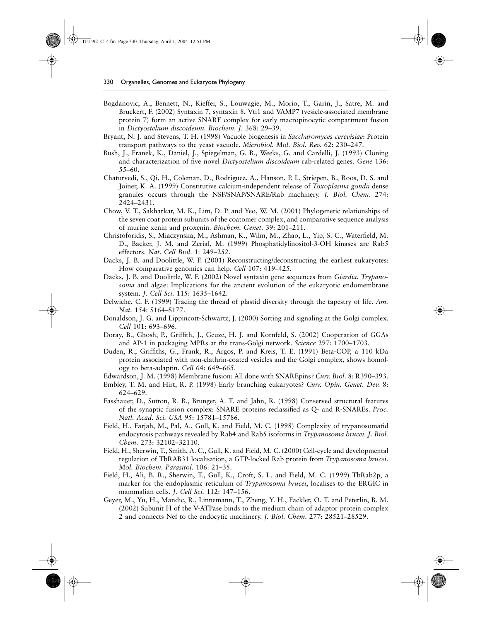- Bogdanovic, A., Bennett, N., Kieffer, S., Louwagie, M., Morio, T., Garin, J., Satre, M. and Bruckert, F. (2002) Syntaxin 7, syntaxin 8, Vti1 and VAMP7 (vesicle-associated membrane protein 7) form an active SNARE complex for early macropinocytic compartment fusion in *Dictyostelium discoideum*. *Biochem. J.* 368: 29–39.
- Bryant, N. J. and Stevens, T. H. (1998) Vacuole biogenesis in *Saccharomyces cerevisiae*: Protein transport pathways to the yeast vacuole. *Microbiol. Mol. Biol. Rev*. 62: 230–247.
- Bush, J., Franek, K., Daniel, J., Spiegelman, G. B., Weeks, G. and Cardelli, J. (1993) Cloning and characterization of five novel *Dictyostelium discoideum* rab-related genes. *Gene* 136: 55–60.
- Chaturvedi, S., Qi, H., Coleman, D., Rodriguez, A., Hanson, P. I., Striepen, B., Roos, D. S. and Joiner, K. A. (1999) Constitutive calcium-independent release of *Toxoplasma gondii* dense granules occurs through the NSF/SNAP/SNARE/Rab machinery*. J. Biol. Chem*. 274: 2424–2431.
- Chow, V. T., Sakharkar, M. K., Lim, D. P. and Yeo, W. M. (2001) Phylogenetic relationships of the seven coat protein subunits of the coatomer complex, and comparative sequence analysis of murine xenin and proxenin. *Biochem. Genet*. 39: 201–211.
- Christoforidis, S., Miaczynska, M., Ashman, K., Wilm, M., Zhao, L., Yip, S. C., Waterfield, M. D., Backer, J. M. and Zerial, M. (1999) Phosphatidylinositol-3-OH kinases are Rab5 effectors. *Nat. Cell Biol*. 1: 249–252.
- Dacks, J. B. and Doolittle, W. F. (2001) Reconstructing/deconstructing the earliest eukaryotes: How comparative genomics can help. *Cell* 107: 419–425.
- Dacks, J. B. and Doolittle, W. F. (2002) Novel syntaxin gene sequences from *Giardia*, *Trypanosoma* and algae: Implications for the ancient evolution of the eukaryotic endomembrane system*. J. Cell Sci*. 115: 1635–1642.
- Delwiche, C. F. (1999) Tracing the thread of plastid diversity through the tapestry of life. *Am. Nat.* 154: S164–S177.
- Donaldson, J. G. and Lippincott-Schwartz, J. (2000) Sorting and signaling at the Golgi complex. *Cell* 101: 693–696.
- Doray, B., Ghosh, P., Griffith, J., Geuze, H. J. and Kornfeld, S. (2002) Cooperation of GGAs and AP-1 in packaging MPRs at the trans-Golgi network. *Science* 297: 1700–1703.
- Duden, R., Griffiths, G., Frank, R., Argos, P. and Kreis, T. E. (1991) Beta-COP, a 110 kDa protein associated with non-clathrin-coated vesicles and the Golgi complex, shows homology to beta-adaptin. *Cell* 64: 649–665.
- Edwardson, J. M. (1998) Membrane fusion: All done with SNAREpins? *Curr. Biol*. 8: R390–393.
- Embley, T. M. and Hirt, R. P. (1998) Early branching eukaryotes? *Curr. Opin. Genet. Dev*. 8: 624–629.
- Fasshauer, D., Sutton, R. B., Brunger, A. T. and Jahn, R. (1998) Conserved structural features of the synaptic fusion complex: SNARE proteins reclassified as Q- and R-SNAREs. *Proc. Natl. Acad. Sci. USA* 95: 15781–15786.
- Field, H., Farjah, M., Pal, A., Gull, K. and Field, M. C. (1998) Complexity of trypanosomatid endocytosis pathways revealed by Rab4 and Rab5 isoforms in *Trypanosoma brucei*. *J. Biol. Chem.* 273: 32102–32110.
- Field, H., Sherwin, T., Smith, A. C., Gull, K. and Field, M. C. (2000) Cell-cycle and developmental regulation of TbRAB31 localisation, a GTP-locked Rab protein from *Trypanosoma brucei*. *Mol. Biochem. Parasitol*. 106: 21–35.
- Field, H., Ali, B. R., Sherwin, T., Gull, K., Croft, S. L. and Field, M. C. (1999) TbRab2p, a marker for the endoplasmic reticulum of *Trypanosoma brucei*, localises to the ERGIC in mammalian cells. *J. Cell Sci.* 112: 147–156.
- Geyer, M., Yu, H., Mandic, R., Linnemann, T., Zheng, Y. H., Fackler, O. T. and Peterlin, B. M. (2002) Subunit H of the V-ATPase binds to the medium chain of adaptor protein complex 2 and connects Nef to the endocytic machinery. *J. Biol. Chem*. 277: 28521–28529.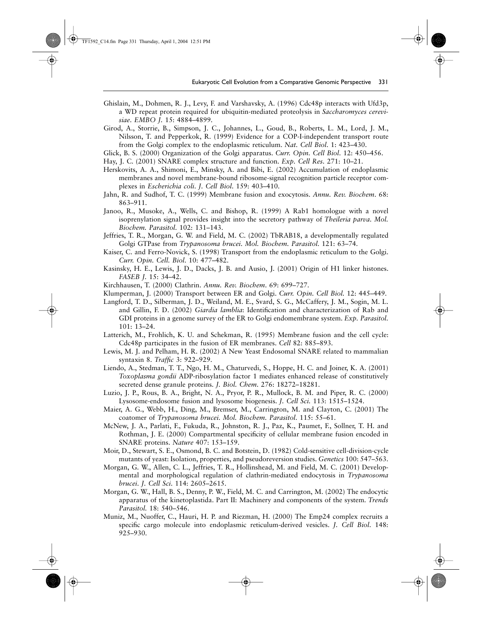Eukaryotic Cell Evolution from a Comparative Genomic Perspective 331

- Ghislain, M., Dohmen, R. J., Levy, F. and Varshavsky, A. (1996) Cdc48p interacts with Ufd3p, a WD repeat protein required for ubiquitin-mediated proteolysis in *Saccharomyces cerevisiae*. *EMBO J.* 15: 4884–4899.
- Girod, A., Storrie, B., Simpson, J. C., Johannes, L., Goud, B., Roberts, L. M., Lord, J. M., Nilsson, T. and Pepperkok, R. (1999) Evidence for a COP-I-independent transport route from the Golgi complex to the endoplasmic reticulum. *Nat. Cell Biol*. 1: 423–430.
- Glick, B. S. (2000) Organization of the Golgi apparatus. *Curr. Opin. Cell Biol*. 12: 450–456.
- Hay, J. C. (2001) SNARE complex structure and function. *Exp. Cell Res*. 271: 10–21.
- Herskovits, A. A., Shimoni, E., Minsky, A. and Bibi, E. (2002) Accumulation of endoplasmic membranes and novel membrane-bound ribosome-signal recognition particle receptor complexes in *Escherichia coli*. *J. Cell Biol*. 159: 403–410.
- Jahn, R. and Sudhof, T. C. (1999) Membrane fusion and exocytosis. *Annu. Rev. Biochem*. 68: 863–911.
- Janoo, R., Musoke, A., Wells, C. and Bishop, R. (1999) A Rab1 homologue with a novel isoprenylation signal provides insight into the secretory pathway of *Theileria parva*. *Mol. Biochem. Parasitol.* 102: 131–143.
- Jeffries, T. R., Morgan, G. W. and Field, M. C. (2002) TbRAB18, a developmentally regulated Golgi GTPase from *Trypanosoma brucei*. *Mol. Biochem. Parasitol*. 121: 63–74.
- Kaiser, C. and Ferro-Novick, S. (1998) Transport from the endoplasmic reticulum to the Golgi. *Curr. Opin. Cell. Biol*. 10: 477–482.
- Kasinsky, H. E., Lewis, J. D., Dacks, J. B. and Ausio, J. (2001) Origin of H1 linker histones. *FASEB J.* 15: 34–42.
- Kirchhausen, T. (2000) Clathrin. *Annu. Rev. Biochem*. 69: 699–727.
- Klumperman, J. (2000) Transport between ER and Golgi. *Curr. Opin. Cell Biol.* 12: 445–449.
- Langford, T. D., Silberman, J. D., Weiland, M. E., Svard, S. G., McCaffery, J. M., Sogin, M. L. and Gillin, F. D. (2002) *Giardia lamblia*: Identification and characterization of Rab and GDI proteins in a genome survey of the ER to Golgi endomembrane system. *Exp. Parasitol.* 101: 13–24.
- Latterich, M., Frohlich, K. U. and Schekman, R. (1995) Membrane fusion and the cell cycle: Cdc48p participates in the fusion of ER membranes. *Cell* 82: 885–893.
- Lewis, M. J. and Pelham, H. R. (2002) A New Yeast Endosomal SNARE related to mammalian syntaxin 8. *Traffic* 3: 922–929.
- Liendo, A., Stedman, T. T., Ngo, H. M., Chaturvedi, S., Hoppe, H. C. and Joiner, K. A. (2001) *Toxoplasma gondii* ADP-ribosylation factor 1 mediates enhanced release of constitutively secreted dense granule proteins. *J. Biol. Chem*. 276: 18272–18281.
- Luzio, J. P., Rous, B. A., Bright, N. A., Pryor, P. R., Mullock, B. M. and Piper, R. C. (2000) Lysosome-endosome fusion and lysosome biogenesis. *J. Cell Sci.* 113: 1515–1524.
- Maier, A. G., Webb, H., Ding, M., Bremser, M., Carrington, M. and Clayton, C. (2001) The coatomer of *Trypanosoma brucei*. *Mol. Biochem. Parasitol*. 115: 55–61.
- McNew, J. A., Parlati, F., Fukuda, R., Johnston, R. J., Paz, K., Paumet, F., Sollner, T. H. and Rothman, J. E. (2000) Compartmental specificity of cellular membrane fusion encoded in SNARE proteins. *Nature* 407: 153–159.
- Moir, D., Stewart, S. E., Osmond, B. C. and Botstein, D. (1982) Cold-sensitive cell-division-cycle mutants of yeast: Isolation, properties, and pseudoreversion studies. *Genetics* 100: 547–563.
- Morgan, G. W., Allen, C. L., Jeffries, T. R., Hollinshead, M. and Field, M. C. (2001) Developmental and morphological regulation of clathrin-mediated endocytosis in *Trypanosoma brucei*. *J. Cell Sci*. 114: 2605–2615.
- Morgan, G. W., Hall, B. S., Denny, P. W., Field, M. C. and Carrington, M. (2002) The endocytic apparatus of the kinetoplastida. Part II: Machinery and components of the system. *Trends Parasitol.* 18: 540–546.
- Muniz, M., Nuoffer, C., Hauri, H. P. and Riezman, H. (2000) The Emp24 complex recruits a specific cargo molecule into endoplasmic reticulum-derived vesicles. *J. Cell Biol*. 148: 925–930.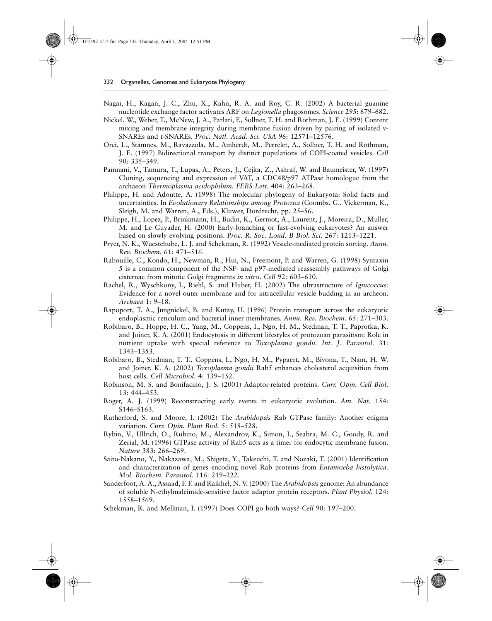- Nagai, H., Kagan, J. C., Zhu, X., Kahn, R. A. and Roy, C. R. (2002) A bacterial guanine nucleotide exchange factor activates ARF on *Legionella* phagosomes. *Science* 295: 679–682.
- Nickel, W., Weber, T., McNew, J. A., Parlati, F., Sollner, T. H. and Rothman, J. E. (1999) Content mixing and membrane integrity during membrane fusion driven by pairing of isolated v-SNAREs and t-SNAREs. *Proc. Natl. Acad. Sci. USA* 96: 12571–12576.
- Orci, L., Stamnes, M., Ravazzola, M., Amherdt, M., Perrelet, A., Sollner, T. H. and Rothman, J. E. (1997) Bidirectional transport by distinct populations of COPI-coated vesicles. *Cell* 90: 335–349.
- Pamnani, V., Tamura, T., Lupas, A., Peters, J., Cejka, Z., Ashraf, W. and Baumeister, W. (1997) Cloning, sequencing and expression of VAT, a CDC48/p97 ATPase homologue from the archaeon *Thermoplasma acidophilum*. *FEBS Lett.* 404: 263–268.
- Philippe, H. and Adoutte, A. (1998) The molecular phylogeny of Eukaryota: Solid facts and uncertainties. In *Evolutionary Relationships among Protozoa* (Coombs, G., Vickerman, K., Sleigh, M. and Warren, A., Eds.), Kluwer, Dordrecht, pp. 25–56.
- Philippe, H., Lopez, P., Brinkmann, H., Budin, K., Germot, A., Laurent, J., Moreira, D., Muller, M. and Le Guyader, H. (2000) Early-branching or fast-evolving eukaryotes? An answer based on slowly evolving positions. *Proc. R. Soc. Lond. B Biol. Sci.* 267: 1213–1221.
- Pryer, N. K., Wuestehube, L. J. and Schekman, R. (1992) Vesicle-mediated protein sorting. *Annu. Rev. Biochem*. 61: 471–516.
- Rabouille, C., Kondo, H., Newman, R., Hui, N., Freemont, P. and Warren, G. (1998) Syntaxin 5 is a common component of the NSF- and p97-mediated reassembly pathways of Golgi cisternae from mitotic Golgi fragments *in vitro*. *Cell* 92: 603–610.
- Rachel, R., Wyschkony, I., Riehl, S. and Huber, H. (2002) The ultrastructure of *Ignicoccus*: Evidence for a novel outer membrane and for intracellular vesicle budding in an archeon. *Archaea* 1: 9–18.
- Rapoport, T. A., Jungnickel, B. and Kutay, U. (1996) Protein transport across the eukaryotic endoplasmic reticulum and bacterial inner membranes. *Annu. Rev. Biochem*. 65: 271–303.
- Robibaro, B., Hoppe, H. C., Yang, M., Coppens, I., Ngo, H. M., Stedman, T. T., Paprotka, K. and Joiner, K. A. (2001) Endocytosis in different lifestyles of protozoan parasitism: Role in nutrient uptake with special reference to *Toxoplasma gondii*. *Int. J. Parasitol*. 31: 1343–1353.
- Robibaro, B., Stedman, T. T., Coppens, I., Ngo, H. M., Pypaert, M., Bivona, T., Nam, H. W. and Joiner, K. A. (2002) *Toxoplasma gondii* Rab5 enhances cholesterol acquisition from host cells. *Cell Microbiol*. 4: 139–152.
- Robinson, M. S. and Bonifacino, J. S. (2001) Adaptor-related proteins. *Curr. Opin. Cell Biol.* 13: 444–453.
- Roger, A. J. (1999) Reconstructing early events in eukaryotic evolution. *Am. Nat*. 154: S146–S163.
- Rutherford, S. and Moore, I. (2002) The *Arabidopsis* Rab GTPase family: Another enigma variation. *Curr. Opin. Plant Biol*. 5: 518–528.
- Rybin, V., Ullrich, O., Rubino, M., Alexandrov, K., Simon, I., Seabra, M. C., Goody, R. and Zerial, M. (1996) GTPase activity of Rab5 acts as a timer for endocytic membrane fusion. *Nature* 383: 266–269.
- Saito-Nakano, Y., Nakazawa, M., Shigeta, Y., Takeuchi, T. and Nozaki, T. (2001) Identification and characterization of genes encoding novel Rab proteins from *Entamoeba histolytica*. *Mol. Biochem. Parasitol*. 116: 219–222.
- Sanderfoot, A. A., Assaad, F. F. and Raikhel, N. V. (2000) The *Arabidopsis* genome: An abundance of soluble N-ethylmaleimide-sensitive factor adaptor protein receptors. *Plant Physiol*. 124: 1558–1569.
- Schekman, R. and Mellman, I. (1997) Does COPI go both ways? *Cell* 90: 197–200.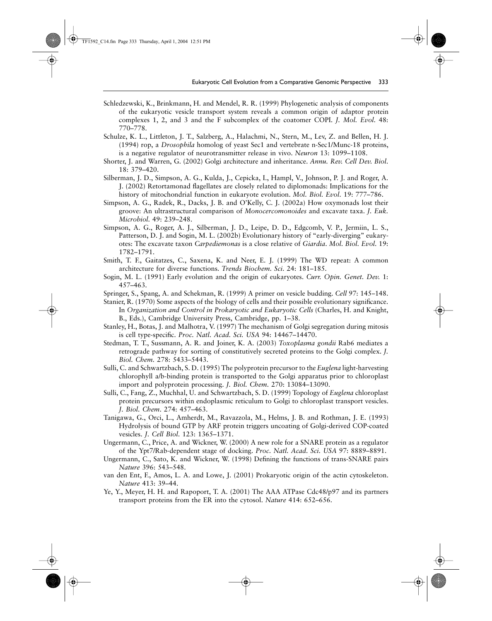- Schledzewski, K., Brinkmann, H. and Mendel, R. R. (1999) Phylogenetic analysis of components of the eukaryotic vesicle transport system reveals a common origin of adaptor protein complexes 1, 2, and 3 and the F subcomplex of the coatomer COPI. *J. Mol. Evol.* 48: 770–778.
- Schulze, K. L., Littleton, J. T., Salzberg, A., Halachmi, N., Stern, M., Lev, Z. and Bellen, H. J. (1994) rop, a *Drosophila* homolog of yeast Sec1 and vertebrate n-Sec1/Munc-18 proteins, is a negative regulator of neurotransmitter release in vivo. *Neuron* 13: 1099–1108.
- Shorter, J. and Warren, G. (2002) Golgi architecture and inheritance. *Annu. Rev. Cell Dev. Biol*. 18: 379–420.
- Silberman, J. D., Simpson, A. G., Kulda, J., Cepicka, I., Hampl, V., Johnson, P. J. and Roger, A. J. (2002) Retortamonad flagellates are closely related to diplomonads: Implications for the history of mitochondrial function in eukaryote evolution. *Mol. Biol. Evol*. 19: 777–786.
- Simpson, A. G., Radek, R., Dacks, J. B. and O'Kelly, C. J. (2002a) How oxymonads lost their groove: An ultrastructural comparison of *Monocercomonoides* and excavate taxa. *J. Euk. Microbiol.* 49: 239–248.
- Simpson, A. G., Roger, A. J., Silberman, J. D., Leipe, D. D., Edgcomb, V. P., Jermiin, L. S., Patterson, D. J. and Sogin, M. L. (2002b) Evolutionary history of "early-diverging" eukaryotes: The excavate taxon *Carpediemonas* is a close relative of *Giardia*. *Mol. Biol. Evol.* 19: 1782–1791.
- Smith, T. F., Gaitatzes, C., Saxena, K. and Neer, E. J. (1999) The WD repeat: A common architecture for diverse functions. *Trends Biochem. Sci*. 24: 181–185.
- Sogin, M. L. (1991) Early evolution and the origin of eukaryotes. *Curr. Opin. Genet. Dev*. 1: 457–463.
- Springer, S., Spang, A. and Schekman, R. (1999) A primer on vesicle budding. *Cell* 97: 145–148.
- Stanier, R. (1970) Some aspects of the biology of cells and their possible evolutionary significance. In *Organization and Control in Prokaryotic and Eukaryotic Cells* (Charles, H. and Knight, B., Eds.), Cambridge University Press, Cambridge, pp. 1–38.
- Stanley, H., Botas, J. and Malhotra, V. (1997) The mechanism of Golgi segregation during mitosis is cell type-specific. *Proc. Natl. Acad. Sci. USA* 94: 14467–14470.
- Stedman, T. T., Sussmann, A. R. and Joiner, K. A. (2003) *Toxoplasma gondii* Rab6 mediates a retrograde pathway for sorting of constitutively secreted proteins to the Golgi complex. *J. Biol. Chem.* 278: 5433–5443.
- Sulli, C. and Schwartzbach, S. D. (1995) The polyprotein precursor to the *Euglena* light-harvesting chlorophyll a/b-binding protein is transported to the Golgi apparatus prior to chloroplast import and polyprotein processing. *J. Biol. Chem*. 270: 13084–13090.
- Sulli, C., Fang, Z., Muchhal, U. and Schwartzbach, S. D. (1999) Topology of *Euglena* chloroplast protein precursors within endoplasmic reticulum to Golgi to chloroplast transport vesicles. *J. Biol. Chem*. 274: 457–463.
- Tanigawa, G., Orci, L., Amherdt, M., Ravazzola, M., Helms, J. B. and Rothman, J. E. (1993) Hydrolysis of bound GTP by ARF protein triggers uncoating of Golgi-derived COP-coated vesicles. *J. Cell Biol*. 123: 1365–1371.
- Ungermann, C., Price, A. and Wickner, W. (2000) A new role for a SNARE protein as a regulator of the Ypt7/Rab-dependent stage of docking. *Proc. Natl. Acad. Sci. USA* 97: 8889–8891.
- Ungermann, C., Sato, K. and Wickner, W. (1998) Defining the functions of trans-SNARE pairs *Nature* 396: 543–548.
- van den Ent, F., Amos, L. A. and Lowe, J. (2001) Prokaryotic origin of the actin cytoskeleton. *Nature* 413: 39–44.
- Ye, Y., Meyer, H. H. and Rapoport, T. A. (2001) The AAA ATPase Cdc48/p97 and its partners transport proteins from the ER into the cytosol. *Nature* 414: 652–656.